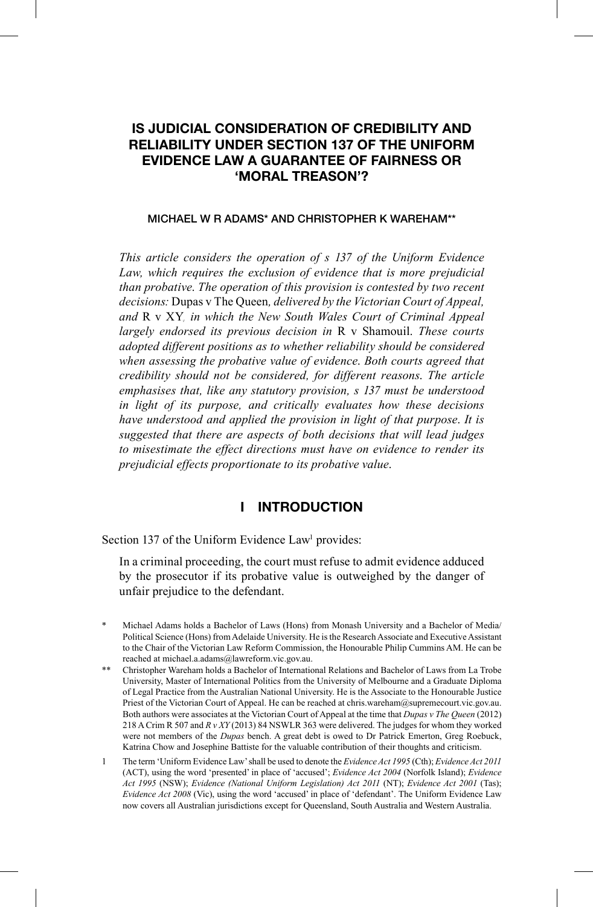# **IS JUDICIAL CONSIDERATION OF CREDIBILITY AND RELIABILITY UNDER SECTION 137 OF THE UNIFORM EVIDENCE LAW A GUARANTEE OF FAIRNESS OR 'MORAL TREASON'?**

#### **MICHAEL W R ADAMS\* AND CHRISTOPHER K WAREHAM\*\***

*This article considers the operation of s 137 of the Uniform Evidence Law, which requires the exclusion of evidence that is more prejudicial than probative*. *The operation of this provision is contested by two recent decisions:* Dupas v The Queen*, delivered by the Victorian Court of Appeal, and* R v XY*, in which the New South Wales Court of Criminal Appeal largely endorsed its previous decision in* R v Shamouil. *These courts adopted different positions as to whether reliability should be considered when assessing the probative value of evidence*. *Both courts agreed that credibility should not be considered, for different reasons*. *The article emphasises that, like any statutory provision, s 137 must be understood in light of its purpose, and critically evaluates how these decisions have understood and applied the provision in light of that purpose*. *It is suggested that there are aspects of both decisions that will lead judges to misestimate the effect directions must have on evidence to render its prejudicial effects proportionate to its probative value*.

### **I INTRODUCTION**

Section 137 of the Uniform Evidence Law<sup>1</sup> provides:

In a criminal proceeding, the court must refuse to admit evidence adduced by the prosecutor if its probative value is outweighed by the danger of unfair prejudice to the defendant.

- \* Michael Adams holds a Bachelor of Laws (Hons) from Monash University and a Bachelor of Media/ Political Science (Hons) from Adelaide University. He is the Research Associate and Executive Assistant to the Chair of the Victorian Law Reform Commission, the Honourable Philip Cummins AM. He can be reached at michael.a.adams@lawreform.vic.gov.au.
- \*\* Christopher Wareham holds a Bachelor of International Relations and Bachelor of Laws from La Trobe University, Master of International Politics from the University of Melbourne and a Graduate Diploma of Legal Practice from the Australian National University. He is the Associate to the Honourable Justice Priest of the Victorian Court of Appeal. He can be reached at chris.wareham@supremecourt.vic.gov.au. Both authors were associates at the Victorian Court of Appeal at the time that *Dupas v The Queen* (2012) 218 A Crim R 507 and *R v XY* (2013) 84 NSWLR 363 were delivered. The judges for whom they worked were not members of the *Dupas* bench. A great debt is owed to Dr Patrick Emerton, Greg Roebuck, Katrina Chow and Josephine Battiste for the valuable contribution of their thoughts and criticism.
- 1 The term 'Uniform Evidence Law' shall be used to denote the *Evidence Act 1995* (Cth); *Evidence Act 2011*  (ACT), using the word 'presented' in place of 'accused'; *Evidence Act 2004* (Norfolk Island); *Evidence Act 1995* (NSW); *Evidence (National Uniform Legislation) Act 2011* (NT); *Evidence Act 2001* (Tas); *Evidence Act 2008* (Vic), using the word 'accused' in place of 'defendant'. The Uniform Evidence Law now covers all Australian jurisdictions except for Queensland, South Australia and Western Australia.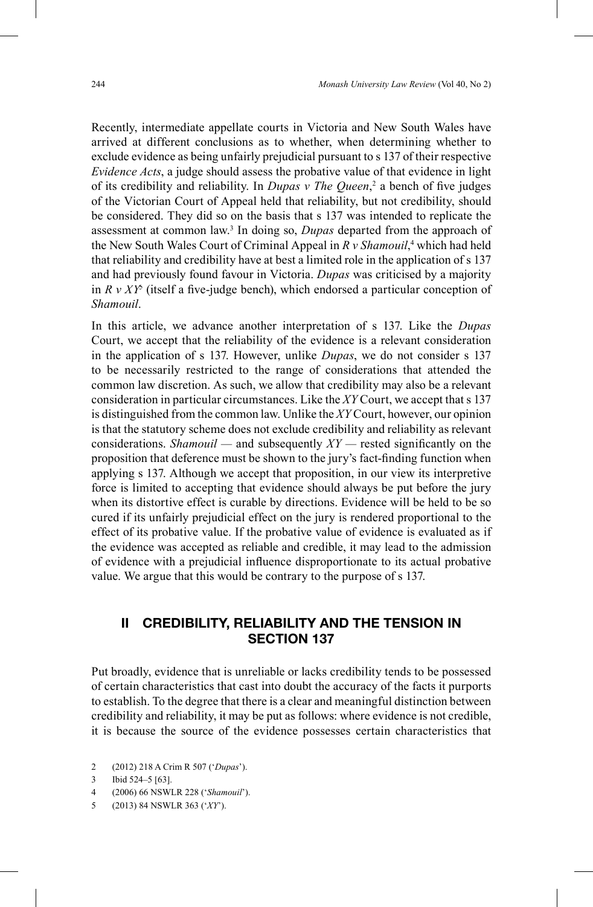Recently, intermediate appellate courts in Victoria and New South Wales have arrived at different conclusions as to whether, when determining whether to exclude evidence as being unfairly prejudicial pursuant to s 137 of their respective *Evidence Acts*, a judge should assess the probative value of that evidence in light of its credibility and reliability. In *Dupas v The Queen*,<sup>2</sup> a bench of five judges of the Victorian Court of Appeal held that reliability, but not credibility, should be considered. They did so on the basis that s 137 was intended to replicate the assessment at common law.<sup>3</sup> In doing so, *Dupas* departed from the approach of the New South Wales Court of Criminal Appeal in *R v Shamouil*, <sup>4</sup> which had held that reliability and credibility have at best a limited role in the application of s 137 and had previously found favour in Victoria. *Dupas* was criticised by a majority in  $R \, v \, XY^5$  (itself a five-judge bench), which endorsed a particular conception of *Shamouil*.

In this article, we advance another interpretation of s 137. Like the *Dupas* Court, we accept that the reliability of the evidence is a relevant consideration in the application of s 137. However, unlike *Dupas*, we do not consider s 137 to be necessarily restricted to the range of considerations that attended the common law discretion. As such, we allow that credibility may also be a relevant consideration in particular circumstances. Like the *XY* Court, we accept that s 137 is distinguished from the common law. Unlike the *XY* Court, however, our opinion is that the statutory scheme does not exclude credibility and reliability as relevant considerations. *Shamouil* — and subsequently  $XY$  — rested significantly on the proposition that deference must be shown to the jury's fact-finding function when applying s 137. Although we accept that proposition, in our view its interpretive force is limited to accepting that evidence should always be put before the jury when its distortive effect is curable by directions. Evidence will be held to be so cured if its unfairly prejudicial effect on the jury is rendered proportional to the effect of its probative value. If the probative value of evidence is evaluated as if the evidence was accepted as reliable and credible, it may lead to the admission of evidence with a prejudicial infl uence disproportionate to its actual probative value. We argue that this would be contrary to the purpose of s 137.

### **II CREDIBILITY, RELIABILITY AND THE TENSION IN SECTION 137**

Put broadly, evidence that is unreliable or lacks credibility tends to be possessed of certain characteristics that cast into doubt the accuracy of the facts it purports to establish. To the degree that there is a clear and meaningful distinction between credibility and reliability, it may be put as follows: where evidence is not credible, it is because the source of the evidence possesses certain characteristics that

- 2 (2012) 218 A Crim R 507 ('*Dupas*').
- 3 Ibid 524–5 [63].
- 4 (2006) 66 NSWLR 228 ('*Shamouil*').
- 5 (2013) 84 NSWLR 363 ('*XY*').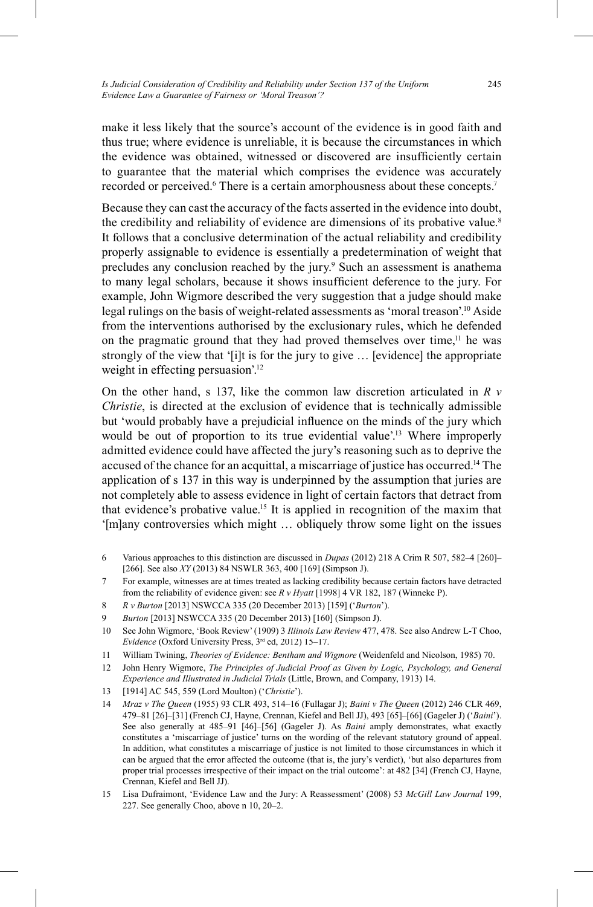make it less likely that the source's account of the evidence is in good faith and thus true; where evidence is unreliable, it is because the circumstances in which the evidence was obtained, witnessed or discovered are insufficiently certain to guarantee that the material which comprises the evidence was accurately recorded or perceived.<sup>6</sup> There is a certain amorphousness about these concepts.<sup>7</sup>

Because they can cast the accuracy of the facts asserted in the evidence into doubt, the credibility and reliability of evidence are dimensions of its probative value. 8 It follows that a conclusive determination of the actual reliability and credibility properly assignable to evidence is essentially a predetermination of weight that precludes any conclusion reached by the jury. <sup>9</sup> Such an assessment is anathema to many legal scholars, because it shows insufficient deference to the jury. For example, John Wigmore described the very suggestion that a judge should make legal rulings on the basis of weight-related assessments as 'moral treason'.<sup>10</sup> Aside from the interventions authorised by the exclusionary rules, which he defended on the pragmatic ground that they had proved themselves over time,<sup>11</sup> he was strongly of the view that '[i]t is for the jury to give … [evidence] the appropriate weight in effecting persuasion'. 12

On the other hand, s 137, like the common law discretion articulated in *R v Christie*, is directed at the exclusion of evidence that is technically admissible but 'would probably have a prejudicial influence on the minds of the jury which would be out of proportion to its true evidential value'.<sup>13</sup> Where improperly admitted evidence could have affected the jury's reasoning such as to deprive the accused of the chance for an acquittal, a miscarriage of justice has occurred. 14 The application of s 137 in this way is underpinned by the assumption that juries are not completely able to assess evidence in light of certain factors that detract from that evidence's probative value. 15 It is applied in recognition of the maxim that '[m]any controversies which might … obliquely throw some light on the issues

- 6 Various approaches to this distinction are discussed in *Dupas* (2012) 218 A Crim R 507, 582–4 [260]– [266]. See also *XY* (2013) 84 NSWLR 363, 400 [169] (Simpson J).
- 7 For example, witnesses are at times treated as lacking credibility because certain factors have detracted from the reliability of evidence given: see *R v Hyatt* [1998] 4 VR 182, 187 (Winneke P).
- 8 *R v Burton* [2013] NSWCCA 335 (20 December 2013) [159] ('*Burton*').
- 9 *Burton* [2013] NSWCCA 335 (20 December 2013) [160] (Simpson J).
- 10 See John Wigmore, 'Book Review' (1909) 3 *Illinois Law Review* 477, 478. See also Andrew L-T Choo, *Evidence* (Oxford University Press, 3<sup>rd</sup> ed, 2012) 15-17.
- 11 William Twining, *Theories of Evidence: Bentham and Wigmore* (Weidenfeld and Nicolson, 1985) 70.
- 12 John Henry Wigmore, *The Principles of Judicial Proof as Given by Logic, Psychology, and General Experience and Illustrated in Judicial Trials* (Little, Brown, and Company, 1913) 14.
- 13 [1914] AC 545, 559 (Lord Moulton) ('*Christie*').
- 14 *Mraz v The Queen* (1955) 93 CLR 493, 514–16 (Fullagar J); *Baini v The Queen* (2012) 246 CLR 469, 479–81 [26]–[31] (French CJ, Hayne, Crennan, Kiefel and Bell JJ), 493 [65]–[66] (Gageler J) ('*Baini*'). See also generally at 485–91 [46]–[56] (Gageler J). As *Baini* amply demonstrates, what exactly constitutes a 'miscarriage of justice' turns on the wording of the relevant statutory ground of appeal. In addition, what constitutes a miscarriage of justice is not limited to those circumstances in which it can be argued that the error affected the outcome (that is, the jury's verdict), 'but also departures from proper trial processes irrespective of their impact on the trial outcome': at 482 [34] (French CJ, Hayne, Crennan, Kiefel and Bell JJ).
- 15 Lisa Dufraimont, 'Evidence Law and the Jury: A Reassessment' (2008) 53 *McGill Law Journal* 199, 227. See generally Choo, above n 10, 20–2.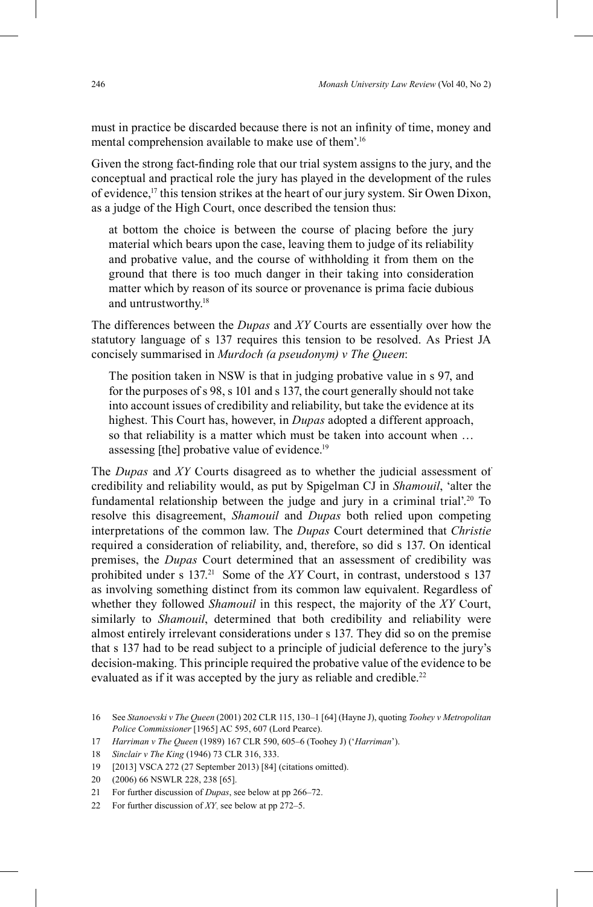must in practice be discarded because there is not an infinity of time, money and mental comprehension available to make use of them'. 16

Given the strong fact-finding role that our trial system assigns to the jury, and the conceptual and practical role the jury has played in the development of the rules of evidence, 17 this tension strikes at the heart of our jury system. Sir Owen Dixon, as a judge of the High Court, once described the tension thus:

at bottom the choice is between the course of placing before the jury material which bears upon the case, leaving them to judge of its reliability and probative value, and the course of withholding it from them on the ground that there is too much danger in their taking into consideration matter which by reason of its source or provenance is prima facie dubious and untrustworthy. 18

The differences between the *Dupas* and *XY* Courts are essentially over how the statutory language of s 137 requires this tension to be resolved. As Priest JA concisely summarised in *Murdoch (a pseudonym) v The Queen*:

The position taken in NSW is that in judging probative value in s 97, and for the purposes of s 98, s 101 and s 137, the court generally should not take into account issues of credibility and reliability, but take the evidence at its highest. This Court has, however, in *Dupas* adopted a different approach, so that reliability is a matter which must be taken into account when … assessing [the] probative value of evidence. 19

The *Dupas* and *XY* Courts disagreed as to whether the judicial assessment of credibility and reliability would, as put by Spigelman CJ in *Shamouil*, 'alter the fundamental relationship between the judge and jury in a criminal trial'.<sup>20</sup> To resolve this disagreement, *Shamouil* and *Dupas* both relied upon competing interpretations of the common law. The *Dupas* Court determined that *Christie* required a consideration of reliability, and, therefore, so did s 137. On identical premises, the *Dupas* Court determined that an assessment of credibility was prohibited under s 137.<sup>21</sup> Some of the *XY* Court, in contrast, understood s 137 as involving something distinct from its common law equivalent. Regardless of whether they followed *Shamouil* in this respect, the majority of the *XY* Court, similarly to *Shamouil*, determined that both credibility and reliability were almost entirely irrelevant considerations under s 137. They did so on the premise that s 137 had to be read subject to a principle of judicial deference to the jury's decision-making. This principle required the probative value of the evidence to be evaluated as if it was accepted by the jury as reliable and credible.<sup>22</sup>

18 *Sinclair v The King* (1946) 73 CLR 316, 333.

<sup>16</sup> See *Stanoevski v The Queen* (2001) 202 CLR 115, 130–1 [64] (Hayne J), quoting *Toohey v Metropolitan Police Commissioner* [1965] AC 595, 607 (Lord Pearce).

<sup>17</sup> *Harriman v The Queen* (1989) 167 CLR 590, 605–6 (Toohey J) ('*Harriman*').

<sup>19 [2013]</sup> VSCA 272 (27 September 2013) [84] (citations omitted).

<sup>20</sup> (2006) 66 NSWLR 228, 238 [65].

<sup>21</sup> For further discussion of *Dupas*, see below at pp 266–72.

<sup>22</sup> For further discussion of *XY*, see below at pp 272–5.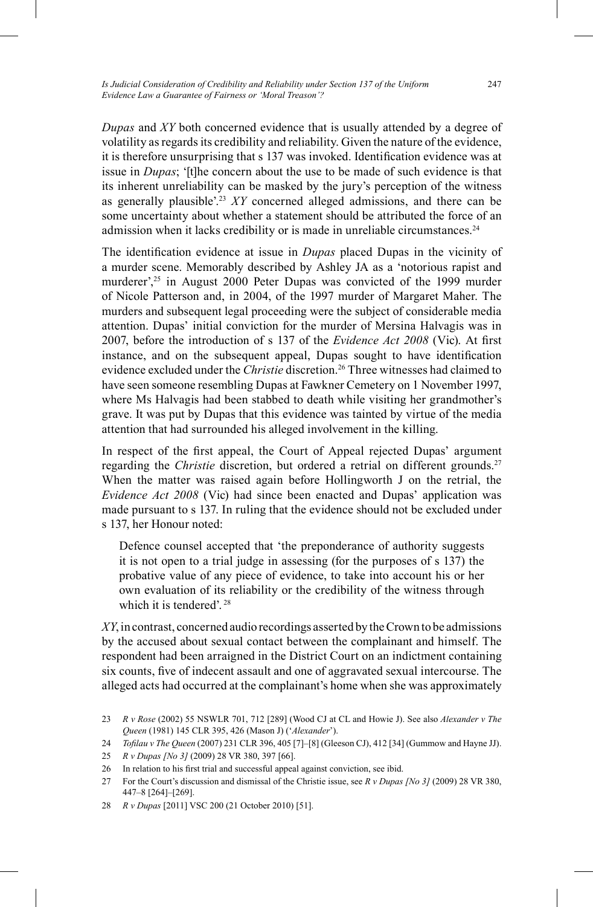*Dupas* and *XY* both concerned evidence that is usually attended by a degree of volatility as regards its credibility and reliability. Given the nature of the evidence, it is therefore unsurprising that s 137 was invoked. Identification evidence was at issue in *Dupas*; '[t]he concern about the use to be made of such evidence is that its inherent unreliability can be masked by the jury's perception of the witness as generally plausible'. <sup>23</sup> *XY* concerned alleged admissions, and there can be some uncertainty about whether a statement should be attributed the force of an admission when it lacks credibility or is made in unreliable circumstances.<sup>24</sup>

The identification evidence at issue in *Dupas* placed Dupas in the vicinity of a murder scene. Memorably described by Ashley JA as a 'notorious rapist and murderer', 25 in August 2000 Peter Dupas was convicted of the 1999 murder of Nicole Patterson and, in 2004, of the 1997 murder of Margaret Maher. The murders and subsequent legal proceeding were the subject of considerable media attention. Dupas' initial conviction for the murder of Mersina Halvagis was in 2007, before the introduction of s 137 of the *Evidence Act 2008* (Vic). At first instance, and on the subsequent appeal, Dupas sought to have identification evidence excluded under the *Christie* discretion. 26 Three witnesses had claimed to have seen someone resembling Dupas at Fawkner Cemetery on 1 November 1997, where Ms Halvagis had been stabbed to death while visiting her grandmother's grave. It was put by Dupas that this evidence was tainted by virtue of the media attention that had surrounded his alleged involvement in the killing.

In respect of the first appeal, the Court of Appeal rejected Dupas' argument regarding the *Christie* discretion, but ordered a retrial on different grounds. 27 When the matter was raised again before Hollingworth J on the retrial, the *Evidence Act 2008* (Vic) had since been enacted and Dupas' application was made pursuant to s 137. In ruling that the evidence should not be excluded under s 137, her Honour noted:

Defence counsel accepted that 'the preponderance of authority suggests it is not open to a trial judge in assessing (for the purposes of s 137) the probative value of any piece of evidence, to take into account his or her own evaluation of its reliability or the credibility of the witness through which it is tendered'.<sup>28</sup>

*XY*, in contrast, concerned audio recordings asserted by the Crown to be admissions by the accused about sexual contact between the complainant and himself. The respondent had been arraigned in the District Court on an indictment containing six counts, five of indecent assault and one of aggravated sexual intercourse. The alleged acts had occurred at the complainant's home when she was approximately

- 25 *R v Dupas [No 3]* (2009) 28 VR 380, 397 [66].
- 26 In relation to his first trial and successful appeal against conviction, see ibid.
- 27 For the Court's discussion and dismissal of the Christie issue, see *R v Dupas [No 3]* (2009) 28 VR 380, 447–8 [264]–[269].
- 28 *R v Dupas* [2011] VSC 200 (21 October 2010) [51].

<sup>23</sup> *R v Rose* (2002) 55 NSWLR 701, 712 [289] (Wood CJ at CL and Howie J). See also *Alexander v The Queen* (1981) 145 CLR 395, 426 (Mason J) ('*Alexander*').

<sup>24</sup> *Tofi lau v The Queen* (2007) 231 CLR 396, 405 [7]–[8] (Gleeson CJ), 412 [34] (Gummow and Hayne JJ).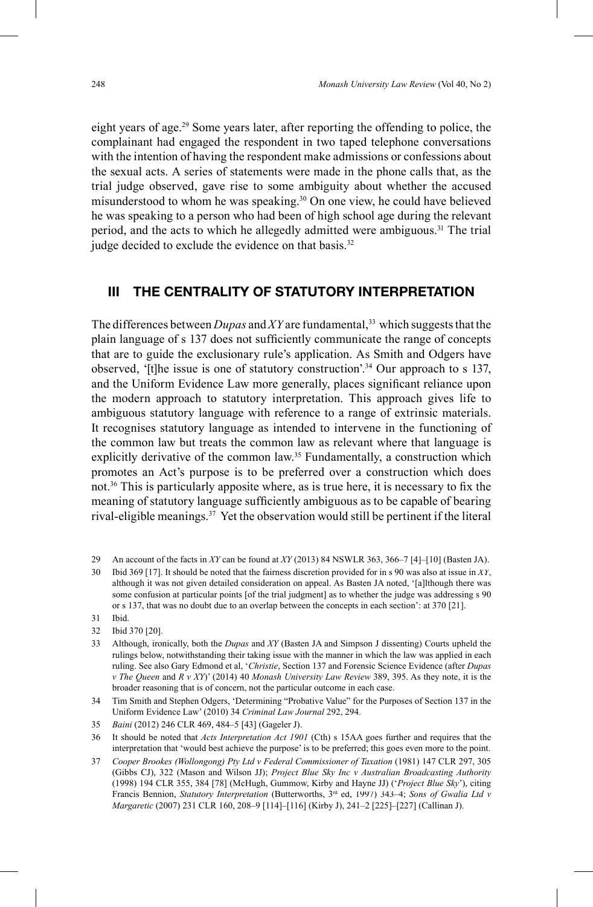eight years of age. 29 Some years later, after reporting the offending to police, the complainant had engaged the respondent in two taped telephone conversations with the intention of having the respondent make admissions or confessions about the sexual acts. A series of statements were made in the phone calls that, as the trial judge observed, gave rise to some ambiguity about whether the accused misunderstood to whom he was speaking. 30 On one view, he could have believed he was speaking to a person who had been of high school age during the relevant period, and the acts to which he allegedly admitted were ambiguous. 31 The trial judge decided to exclude the evidence on that basis.<sup>32</sup>

## **III THE CENTRALITY OF STATUTORY INTERPRETATION**

The differences between *Dupas* and *XY* are fundamental,<sup>33</sup> which suggests that the plain language of s 137 does not sufficiently communicate the range of concepts that are to guide the exclusionary rule's application. As Smith and Odgers have observed, '[t]he issue is one of statutory construction'. 34 Our approach to s 137, and the Uniform Evidence Law more generally, places significant reliance upon the modern approach to statutory interpretation. This approach gives life to ambiguous statutory language with reference to a range of extrinsic materials. It recognises statutory language as intended to intervene in the functioning of the common law but treats the common law as relevant where that language is explicitly derivative of the common law.<sup>35</sup> Fundamentally, a construction which promotes an Act's purpose is to be preferred over a construction which does not.<sup>36</sup> This is particularly apposite where, as is true here, it is necessary to fix the meaning of statutory language sufficiently ambiguous as to be capable of bearing rival-eligible meanings. <sup>37</sup> Yet the observation would still be pertinent if the literal

- 29 An account of the facts in *XY* can be found at *XY* (2013) 84 NSWLR 363, 366–7 [4]–[10] (Basten JA).
- 30 Ibid 369 [17]. It should be noted that the fairness discretion provided for in s 90 was also at issue in *XY*, although it was not given detailed consideration on appeal. As Basten JA noted, '[a]lthough there was some confusion at particular points [of the trial judgment] as to whether the judge was addressing s 90 or s 137, that was no doubt due to an overlap between the concepts in each section': at 370 [21].
- 31 Ibid.
- 32 Ibid 370 [20].
- 33 Although, ironically, both the *Dupas* and *XY* (Basten JA and Simpson J dissenting) Courts upheld the rulings below, notwithstanding their taking issue with the manner in which the law was applied in each ruling. See also Gary Edmond et al, '*Christie*, Section 137 and Forensic Science Evidence (after *Dupas v The Queen* and *R v XY*)' (2014) 40 *Monash University Law Review* 389, 395. As they note, it is the broader reasoning that is of concern, not the particular outcome in each case.

34 Tim Smith and Stephen Odgers, 'Determining "Probative Value" for the Purposes of Section 137 in the Uniform Evidence Law' (2010) 34 *Criminal Law Journal* 292, 294.

36 It should be noted that *Acts Interpretation Act 1901* (Cth) s 15AA goes further and requires that the interpretation that 'would best achieve the purpose' is to be preferred; this goes even more to the point.

<sup>35</sup> *Baini* (2012) 246 CLR 469, 484–5 [43] (Gageler J).

<sup>37</sup> Cooper Brookes (Wollongong) Pty Ltd v Federal Commissioner of Taxation (1981) 147 CLR 297, 305 (Gibbs CJ), 322 (Mason and Wilson JJ); *Project Blue Sky Inc v Australian Broadcasting Authority* (1998) 194 CLR 355, 384 [78] (McHugh, Gummow, Kirby and Hayne JJ) ('*Project Blue Sky*'), citing Francis Bennion, *Statutory Interpretation* (Butterworths, 3<sup>rd</sup> ed, 1997) 343-4; Sons of Gwalia Ltd v *Margaretic* (2007) 231 CLR 160, 208–9 [114]–[116] (Kirby J), 241–2 [225]–[227] (Callinan J).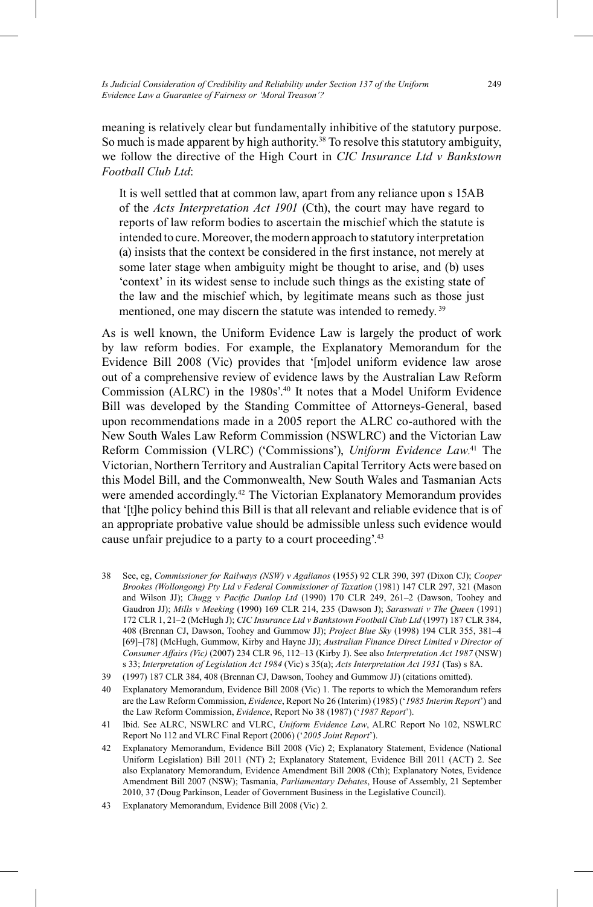meaning is relatively clear but fundamentally inhibitive of the statutory purpose. So much is made apparent by high authority. 38 To resolve this statutory ambiguity, we follow the directive of the High Court in *CIC Insurance Ltd v Bankstown Football Club Ltd*:

It is well settled that at common law, apart from any reliance upon s 15AB of the *Acts Interpretation Act 1901* (Cth), the court may have regard to reports of law reform bodies to ascertain the mischief which the statute is intended to cure. Moreover, the modern approach to statutory interpretation (a) insists that the context be considered in the first instance, not merely at some later stage when ambiguity might be thought to arise, and (b) uses 'context' in its widest sense to include such things as the existing state of the law and the mischief which, by legitimate means such as those just mentioned, one may discern the statute was intended to remedy.<sup>39</sup>

As is well known, the Uniform Evidence Law is largely the product of work by law reform bodies. For example, the Explanatory Memorandum for the Evidence Bill 2008 (Vic) provides that '[m]odel uniform evidence law arose out of a comprehensive review of evidence laws by the Australian Law Reform Commission (ALRC) in the 1980s'. 40 It notes that a Model Uniform Evidence Bill was developed by the Standing Committee of Attorneys-General, based upon recommendations made in a 2005 report the ALRC co-authored with the New South Wales Law Reform Commission (NSWLRC) and the Victorian Law Reform Commission (VLRC) ('Commissions'), *Uniform Evidence Law*. 41 The Victorian, Northern Territory and Australian Capital Territory Acts were based on this Model Bill, and the Commonwealth, New South Wales and Tasmanian Acts were amended accordingly.<sup>42</sup> The Victorian Explanatory Memorandum provides that '[t]he policy behind this Bill is that all relevant and reliable evidence that is of an appropriate probative value should be admissible unless such evidence would cause unfair prejudice to a party to a court proceeding.<sup>43</sup>

- 38 See, eg, *Commissioner for Railways (NSW) v Agalianos* (1955) 92 CLR 390, 397 (Dixon CJ); *Cooper Brookes (Wollongong) Pty Ltd v Federal Commissioner of Taxation* (1981) 147 CLR 297, 321 (Mason and Wilson JJ); *Chugg v Pacific Dunlop Ltd* (1990) 170 CLR 249, 261-2 (Dawson, Toohey and Gaudron JJ); *Mills v Meeking* (1990) 169 CLR 214, 235 (Dawson J); *Saraswati v The Queen* (1991) 172 CLR 1, 21–2 (McHugh J); *CIC Insurance Ltd v Bankstown Football Club Ltd* (1997) 187 CLR 384, 408 (Brennan CJ, Dawson, Toohey and Gummow JJ); *Project Blue Sky* (1998) 194 CLR 355, 381–4 [69]–[78] (McHugh, Gummow, Kirby and Hayne JJ); *Australian Finance Direct Limited v Director of Consumer Affairs (Vic)* (2007) 234 CLR 96, 112–13 (Kirby J). See also *Interpretation Act 1987* (NSW) s 33; *Interpretation of Legislation Act 1984* (Vic) s 35(a); *Acts Interpretation Act 1931* (Tas) s 8A.
- 39 (1997) 187 CLR 384, 408 (Brennan CJ, Dawson, Toohey and Gummow JJ) (citations omitted).
- 40 Explanatory Memorandum, Evidence Bill 2008 (Vic) 1. The reports to which the Memorandum refers are the Law Reform Commission, *Evidence*, Report No 26 (Interim) (1985) ('*1985 Interim Report*') and the Law Reform Commission, *Evidence*, Report No 38 (1987) ('*1987 Report*').
- 41 Ibid. See ALRC, NSWLRC and VLRC, *Uniform Evidence Law*, ALRC Report No 102, NSWLRC Report No 112 and VLRC Final Report (2006) ('*2005 Joint Report*').
- 42 Explanatory Memorandum, Evidence Bill 2008 (Vic) 2; Explanatory Statement, Evidence (National Uniform Legislation) Bill 2011 (NT) 2; Explanatory Statement, Evidence Bill 2011 (ACT) 2. See also Explanatory Memorandum, Evidence Amendment Bill 2008 (Cth); Explanatory Notes, Evidence Amendment Bill 2007 (NSW); Tasmania, *Parliamentary Debates*, House of Assembly, 21 September 2010, 37 (Doug Parkinson, Leader of Government Business in the Legislative Council).
- 43 Explanatory Memorandum, Evidence Bill 2008 (Vic) 2.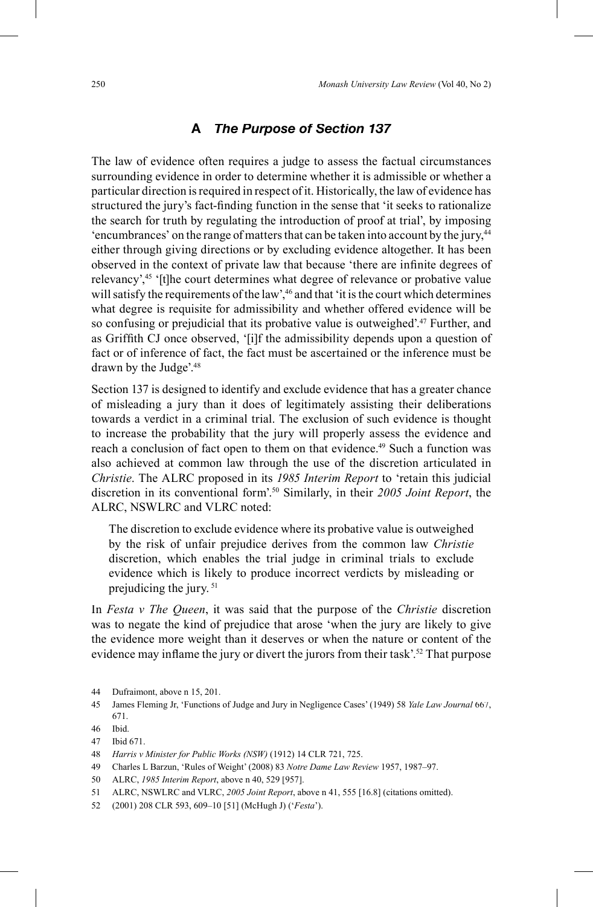#### **A** *The Purpose of Section 137*

The law of evidence often requires a judge to assess the factual circumstances surrounding evidence in order to determine whether it is admissible or whether a particular direction is required in respect of it. Historically, the law of evidence has structured the jury's fact-finding function in the sense that 'it seeks to rationalize the search for truth by regulating the introduction of proof at trial', by imposing 'encumbrances' on the range of matters that can be taken into account by the jury,44 either through giving directions or by excluding evidence altogether. It has been observed in the context of private law that because 'there are infinite degrees of relevancy',<sup>45</sup> '[t]he court determines what degree of relevance or probative value will satisfy the requirements of the law',<sup>46</sup> and that 'it is the court which determines what degree is requisite for admissibility and whether offered evidence will be so confusing or prejudicial that its probative value is outweighed'. 47 Further, and as Griffith CJ once observed, '[i]f the admissibility depends upon a question of fact or of inference of fact, the fact must be ascertained or the inference must be drawn by the Judge'. 48

Section 137 is designed to identify and exclude evidence that has a greater chance of misleading a jury than it does of legitimately assisting their deliberations towards a verdict in a criminal trial. The exclusion of such evidence is thought to increase the probability that the jury will properly assess the evidence and reach a conclusion of fact open to them on that evidence. <sup>49</sup> Such a function was also achieved at common law through the use of the discretion articulated in *Christie*. The ALRC proposed in its *1985 Interim Report* to 'retain this judicial discretion in its conventional form'. 50 Similarly, in their *2005 Joint Report*, the ALRC, NSWLRC and VLRC noted:

The discretion to exclude evidence where its probative value is outweighed by the risk of unfair prejudice derives from the common law *Christie* discretion, which enables the trial judge in criminal trials to exclude evidence which is likely to produce incorrect verdicts by misleading or prejudicing the jury. <sup>51</sup>

In *Festa v The Queen*, it was said that the purpose of the *Christie* discretion was to negate the kind of prejudice that arose 'when the jury are likely to give the evidence more weight than it deserves or when the nature or content of the evidence may inflame the jury or divert the jurors from their task'.<sup>52</sup> That purpose

- 49 Charles L Barzun, 'Rules of Weight' (2008) 83 *Notre Dame Law Review* 1957, 1987–97.
- 50 ALRC, *1985 Interim Report*, above n 40, 529 [957].
- 51 ALRC, NSWLRC and VLRC, *2005 Joint Report*, above n 41, 555 [16.8] (citations omitted).
- 52 (2001) 208 CLR 593, 609–10 [51] (McHugh J) ('*Festa*').

<sup>44</sup> Dufraimont, above n 15, 201.

<sup>45</sup> James Fleming Jr, 'Functions of Judge and Jury in Negligence Cases' (1949) 58 *Yale Law Journal* 667, 671.

<sup>46</sup> Ibid.

<sup>47</sup> Ibid 671.

<sup>48</sup> *Harris v Minister for Public Works (NSW)* (1912) 14 CLR 721, 725.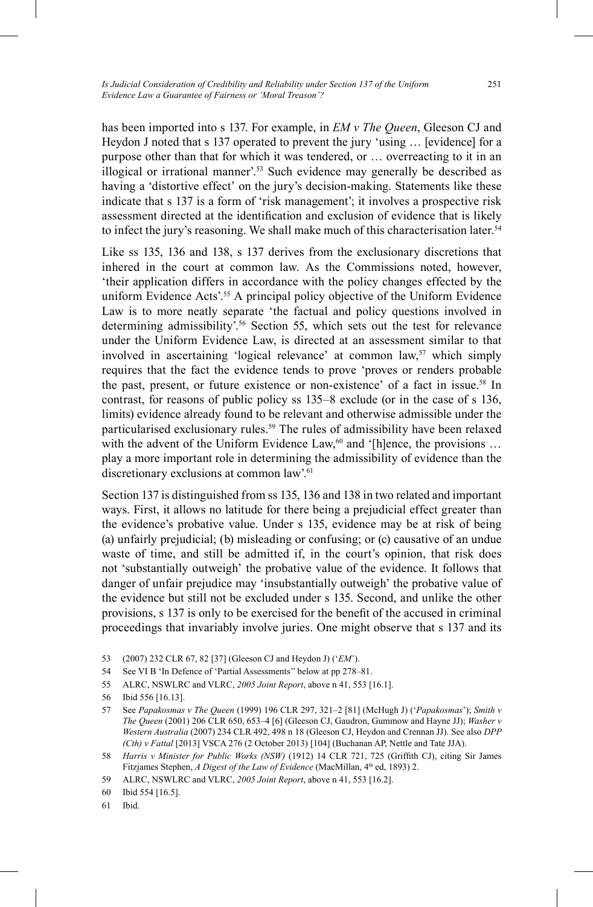has been imported into s 137. For example, in *EM v The Queen*, Gleeson CJ and Heydon J noted that s 137 operated to prevent the jury 'using … [evidence] for a purpose other than that for which it was tendered, or … overreacting to it in an illogical or irrational manner'. 53 Such evidence may generally be described as having a 'distortive effect' on the jury's decision-making. Statements like these indicate that s 137 is a form of 'risk management'; it involves a prospective risk assessment directed at the identification and exclusion of evidence that is likely to infect the jury's reasoning. We shall make much of this characterisation later. 54

Like ss 135, 136 and 138, s 137 derives from the exclusionary discretions that inhered in the court at common law. As the Commissions noted, however, 'their application differs in accordance with the policy changes effected by the uniform Evidence Acts'. 55 A principal policy objective of the Uniform Evidence Law is to more neatly separate 'the factual and policy questions involved in determining admissibility'. 56 Section 55, which sets out the test for relevance under the Uniform Evidence Law, is directed at an assessment similar to that involved in ascertaining 'logical relevance' at common law,<sup>57</sup> which simply requires that the fact the evidence tends to prove 'proves or renders probable the past, present, or future existence or non-existence' of a fact in issue. 58 In contrast, for reasons of public policy ss 135–8 exclude (or in the case of s 136, limits) evidence already found to be relevant and otherwise admissible under the particularised exclusionary rules. 59 The rules of admissibility have been relaxed with the advent of the Uniform Evidence Law,<sup>60</sup> and '[h]ence, the provisions ... play a more important role in determining the admissibility of evidence than the discretionary exclusions at common law'.<sup>61</sup>

Section 137 is distinguished from ss 135, 136 and 138 in two related and important ways. First, it allows no latitude for there being a prejudicial effect greater than the evidence's probative value. Under s 135, evidence may be at risk of being (a) unfairly prejudicial; (b) misleading or confusing; or (c) causative of an undue waste of time, and still be admitted if, in the court's opinion, that risk does not 'substantially outweigh' the probative value of the evidence. It follows that danger of unfair prejudice may 'insubstantially outweigh' the probative value of the evidence but still not be excluded under s 135. Second, and unlike the other provisions, s 137 is only to be exercised for the benefi t of the accused in criminal proceedings that invariably involve juries. One might observe that s 137 and its

- 54 See VI B 'In Defence of 'Partial Assessments'' below at pp 278–81.
- 55 ALRC, NSWLRC and VLRC, *2005 Joint Report*, above n 41, 553 [16.1].
- 56 Ibid 556 [16.13].
- 57 See *Papakosmas v The Queen* (1999) 196 CLR 297, 321–2 [81] (McHugh J) ('*Papakosmas*'); *Smith v The Queen* (2001) 206 CLR 650, 653–4 [6] (Gleeson CJ, Gaudron, Gummow and Hayne JJ); *Washer v Western Australia* (2007) 234 CLR 492, 498 n 18 (Gleeson CJ, Heydon and Crennan JJ). See also *DPP (Cth) v Fattal* [2013] VSCA 276 (2 October 2013) [104] (Buchanan AP, Nettle and Tate JJA).
- 58 *Harris v Minister for Public Works (NSW)* (1912) 14 CLR 721, 725 (Griffith CJ), citing Sir James Fitzjames Stephen, *A Digest of the Law of Evidence* (MacMillan, 4<sup>th</sup> ed, 1893) 2.
- 59 ALRC, NSWLRC and VLRC, *2005 Joint Report*, above n 41, 553 [16.2].

60 Ibid 554 [16.5].

61 Ibid.

<sup>53 (2007) 232</sup> CLR 67, 82 [37] (Gleeson CJ and Heydon J) ('*EM*').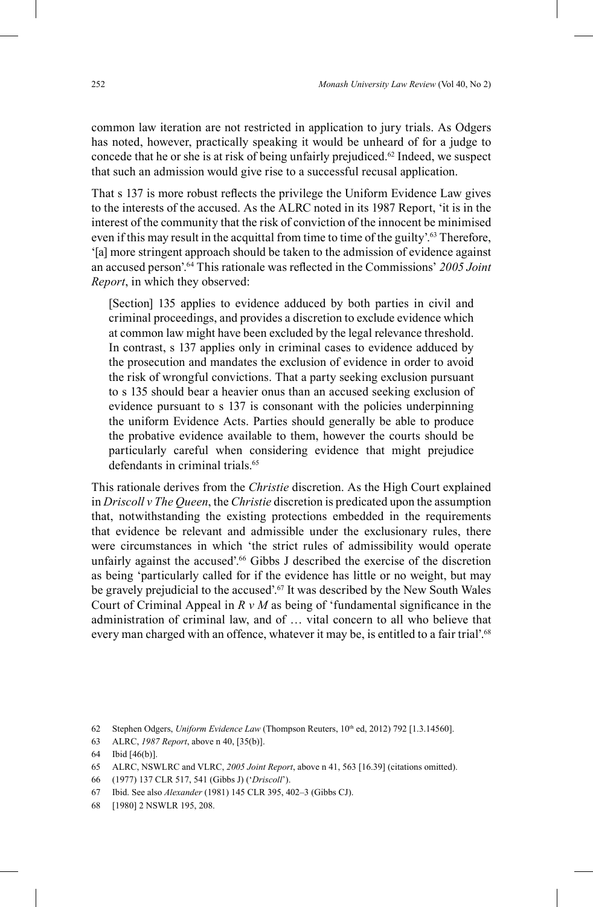common law iteration are not restricted in application to jury trials. As Odgers has noted, however, practically speaking it would be unheard of for a judge to concede that he or she is at risk of being unfairly prejudiced. 62 Indeed, we suspect that such an admission would give rise to a successful recusal application.

That s 137 is more robust reflects the privilege the Uniform Evidence Law gives to the interests of the accused. As the ALRC noted in its 1987 Report, 'it is in the interest of the community that the risk of conviction of the innocent be minimised even if this may result in the acquittal from time to time of the guilty'. 63 Therefore, '[a] more stringent approach should be taken to the admission of evidence against an accused person'.<sup>64</sup> This rationale was reflected in the Commissions' 2005 Joint *Report*, in which they observed:

[Section] 135 applies to evidence adduced by both parties in civil and criminal proceedings, and provides a discretion to exclude evidence which at common law might have been excluded by the legal relevance threshold. In contrast, s 137 applies only in criminal cases to evidence adduced by the prosecution and mandates the exclusion of evidence in order to avoid the risk of wrongful convictions. That a party seeking exclusion pursuant to s 135 should bear a heavier onus than an accused seeking exclusion of evidence pursuant to s 137 is consonant with the policies underpinning the uniform Evidence Acts. Parties should generally be able to produce the probative evidence available to them, however the courts should be particularly careful when considering evidence that might prejudice defendants in criminal trials.<sup>65</sup>

This rationale derives from the *Christie* discretion. As the High Court explained in *Driscoll v The Queen*, the *Christie* discretion is predicated upon the assumption that, notwithstanding the existing protections embedded in the requirements that evidence be relevant and admissible under the exclusionary rules, there were circumstances in which 'the strict rules of admissibility would operate unfairly against the accused'. <sup>66</sup> Gibbs J described the exercise of the discretion as being 'particularly called for if the evidence has little or no weight, but may be gravely prejudicial to the accused'.<sup>67</sup> It was described by the New South Wales Court of Criminal Appeal in  $R \vee M$  as being of 'fundamental significance in the administration of criminal law, and of … vital concern to all who believe that every man charged with an offence, whatever it may be, is entitled to a fair trial'.<sup>68</sup>

66 (1977) 137 CLR 517, 541 (Gibbs J) ('*Driscoll*').

<sup>62</sup> Stephen Odgers, *Uniform Evidence Law* (Thompson Reuters, 10<sup>th</sup> ed, 2012) 792 [1.3.14560].

<sup>63</sup> ALRC, *1987 Report*, above n 40, [35(b)].

<sup>64</sup> Ibid [46(b)].

<sup>65</sup> ALRC, NSWLRC and VLRC, *2005 Joint Report*, above n 41, 563 [16.39] (citations omitted).

<sup>67</sup> Ibid. See also *Alexander* (1981) 145 CLR 395, 402–3 (Gibbs CJ).

<sup>68</sup> [1980] 2 NSWLR 195, 208.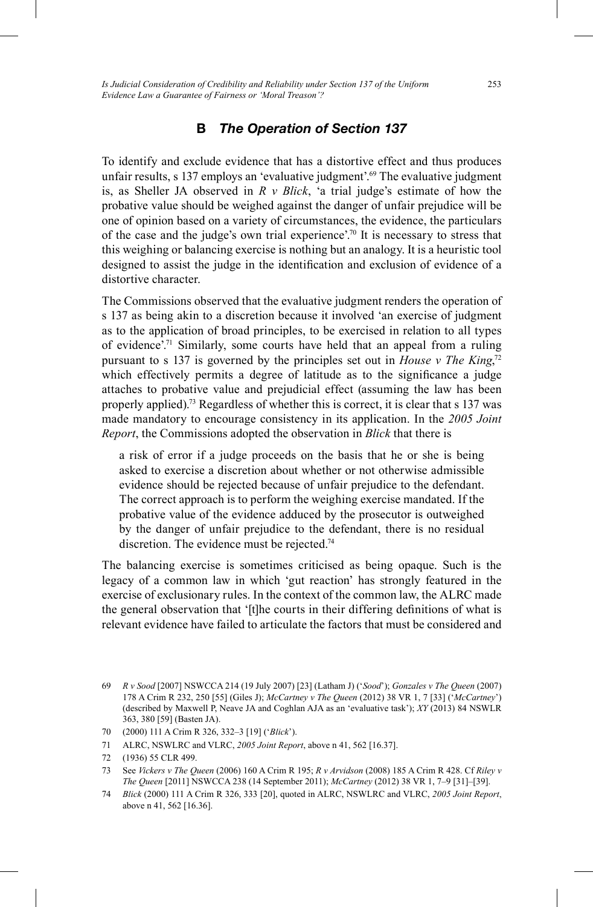*Is Judicial Consideration of Credibility and Reliability under Section 137 of the Uniform Evidence Law a Guarantee of Fairness or 'Moral Treason'?*

## **B** *The Operation of Section 137*

To identify and exclude evidence that has a distortive effect and thus produces unfair results, s 137 employs an 'evaluative judgment'. 69 The evaluative judgment is, as Sheller JA observed in *R v Blick*, 'a trial judge's estimate of how the probative value should be weighed against the danger of unfair prejudice will be one of opinion based on a variety of circumstances, the evidence, the particulars of the case and the judge's own trial experience'. 70 It is necessary to stress that this weighing or balancing exercise is nothing but an analogy. It is a heuristic tool designed to assist the judge in the identification and exclusion of evidence of a distortive character.

The Commissions observed that the evaluative judgment renders the operation of s 137 as being akin to a discretion because it involved 'an exercise of judgment as to the application of broad principles, to be exercised in relation to all types of evidence'. 71 Similarly, some courts have held that an appeal from a ruling pursuant to s 137 is governed by the principles set out in *House v The King*<sup>72</sup> which effectively permits a degree of latitude as to the significance a judge attaches to probative value and prejudicial effect (assuming the law has been properly applied). 73 Regardless of whether this is correct, it is clear that s 137 was made mandatory to encourage consistency in its application. In the *2005 Joint Report*, the Commissions adopted the observation in *Blick* that there is

a risk of error if a judge proceeds on the basis that he or she is being asked to exercise a discretion about whether or not otherwise admissible evidence should be rejected because of unfair prejudice to the defendant. The correct approach is to perform the weighing exercise mandated. If the probative value of the evidence adduced by the prosecutor is outweighed by the danger of unfair prejudice to the defendant, there is no residual discretion. The evidence must be rejected.<sup>74</sup>

The balancing exercise is sometimes criticised as being opaque. Such is the legacy of a common law in which 'gut reaction' has strongly featured in the exercise of exclusionary rules. In the context of the common law, the ALRC made the general observation that '[t]he courts in their differing definitions of what is relevant evidence have failed to articulate the factors that must be considered and

<sup>69</sup> *R v Sood* [2007] NSWCCA 214 (19 July 2007) [23] (Latham J) ('*Sood*'); *Gonzales v The Queen* (2007) 178 A Crim R 232, 250 [55] (Giles J); *McCartney v The Queen* (2012) 38 VR 1, 7 [33] ('*McCartney*') (described by Maxwell P, Neave JA and Coghlan AJA as an 'evaluative task'); *XY* (2013) 84 NSWLR 363, 380 [59] (Basten JA).

<sup>70</sup> (2000) 111 A Crim R 326, 332–3 [19] ('*Blick*').

<sup>71</sup> ALRC, NSWLRC and VLRC, *2005 Joint Report*, above n 41, 562 [16.37].

<sup>72</sup> (1936) 55 CLR 499.

<sup>73</sup> See *Vickers v The Queen* (2006) 160 A Crim R 195; *R v Arvidson* (2008) 185 A Crim R 428. Cf *Riley v The Queen* [2011] NSWCCA 238 (14 September 2011); *McCartney* (2012) 38 VR 1, 7–9 [31]–[39].

<sup>74</sup> *Blick* (2000) 111 A Crim R 326, 333 [20], quoted in ALRC, NSWLRC and VLRC, *2005 Joint Report*, above n 41, 562 [16.36].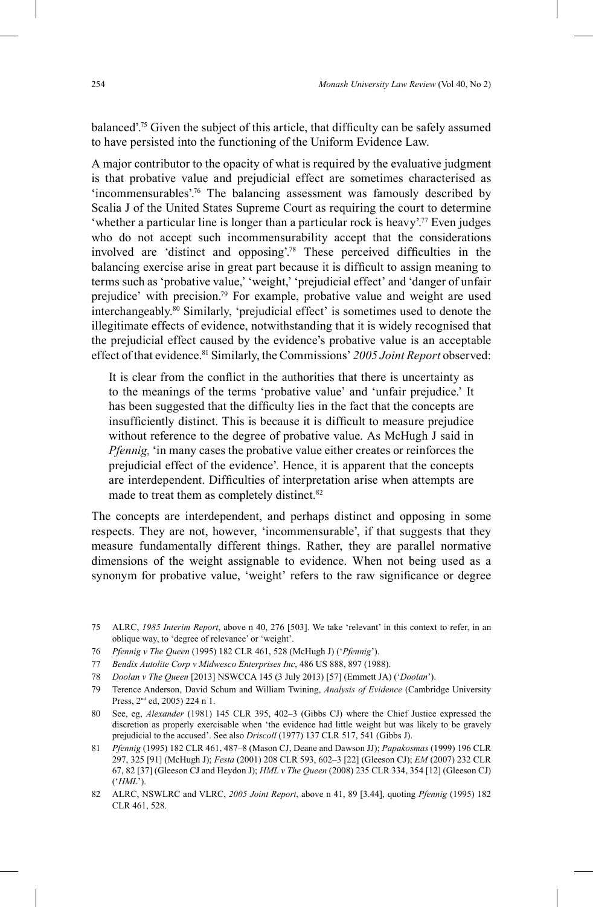balanced<sup>"</sup>.<sup>75</sup> Given the subject of this article, that difficulty can be safely assumed to have persisted into the functioning of the Uniform Evidence Law.

A major contributor to the opacity of what is required by the evaluative judgment is that probative value and prejudicial effect are sometimes characterised as 'incommensurables'. 76 The balancing assessment was famously described by Scalia J of the United States Supreme Court as requiring the court to determine 'whether a particular line is longer than a particular rock is heavy'. 77 Even judges who do not accept such incommensurability accept that the considerations involved are 'distinct and opposing'.<sup>78</sup> These perceived difficulties in the balancing exercise arise in great part because it is difficult to assign meaning to terms such as 'probative value,' 'weight,' 'prejudicial effect' and 'danger of unfair prejudice' with precision. 79 For example, probative value and weight are used interchangeably. 80 Similarly, 'prejudicial effect' is sometimes used to denote the illegitimate effects of evidence, notwithstanding that it is widely recognised that the prejudicial effect caused by the evidence's probative value is an acceptable effect of that evidence.<sup>81</sup> Similarly, the Commissions' 2005 Joint Report observed:

It is clear from the conflict in the authorities that there is uncertainty as to the meanings of the terms 'probative value' and 'unfair prejudice.' It has been suggested that the difficulty lies in the fact that the concepts are insufficiently distinct. This is because it is difficult to measure prejudice without reference to the degree of probative value. As McHugh J said in *Pfennig*, 'in many cases the probative value either creates or reinforces the prejudicial effect of the evidence'. Hence, it is apparent that the concepts are interdependent. Difficulties of interpretation arise when attempts are made to treat them as completely distinct.<sup>82</sup>

The concepts are interdependent, and perhaps distinct and opposing in some respects. They are not, however, 'incommensurable', if that suggests that they measure fundamentally different things. Rather, they are parallel normative dimensions of the weight assignable to evidence. When not being used as a synonym for probative value, 'weight' refers to the raw significance or degree

- 77 *Bendix Autolite Corp v Midwesco Enterprises Inc*, 486 US 888, 897 (1988).
- 78 *Doolan v The Queen* [2013] NSWCCA 145 (3 July 2013) [57] (Emmett JA) ('*Doolan*').
- 79 Terence Anderson, David Schum and William Twining, *Analysis of Evidence* (Cambridge University Press, 2<sup>nd</sup> ed, 2005) 224 n 1.
- 80 See, eg, *Alexander* (1981) 145 CLR 395, 402–3 (Gibbs CJ) where the Chief Justice expressed the discretion as properly exercisable when 'the evidence had little weight but was likely to be gravely prejudicial to the accused'. See also *Driscoll* (1977) 137 CLR 517, 541 (Gibbs J).
- 81 *Pfennig* (1995) 182 CLR 461, 487–8 (Mason CJ, Deane and Dawson JJ); *Papakosmas* (1999) 196 CLR 297, 325 [91] (McHugh J); *Festa* (2001) 208 CLR 593, 602–3 [22] (Gleeson CJ); *EM* (2007) 232 CLR 67, 82 [37] (Gleeson CJ and Heydon J); *HML v The Queen* (2008) 235 CLR 334, 354 [12] (Gleeson CJ) ('*HML*').
- 82 ALRC, NSWLRC and VLRC, *2005 Joint Report*, above n 41, 89 [3.44], quoting *Pfennig* (1995) 182 CLR 461, 528.

<sup>75</sup> ALRC, *1985 Interim Report*, above n 40, 276 [503]. We take 'relevant' in this context to refer, in an oblique way, to 'degree of relevance' or 'weight'.

<sup>76</sup> *Pfennig v The Queen* (1995) 182 CLR 461, 528 (McHugh J) ('*Pfennig*').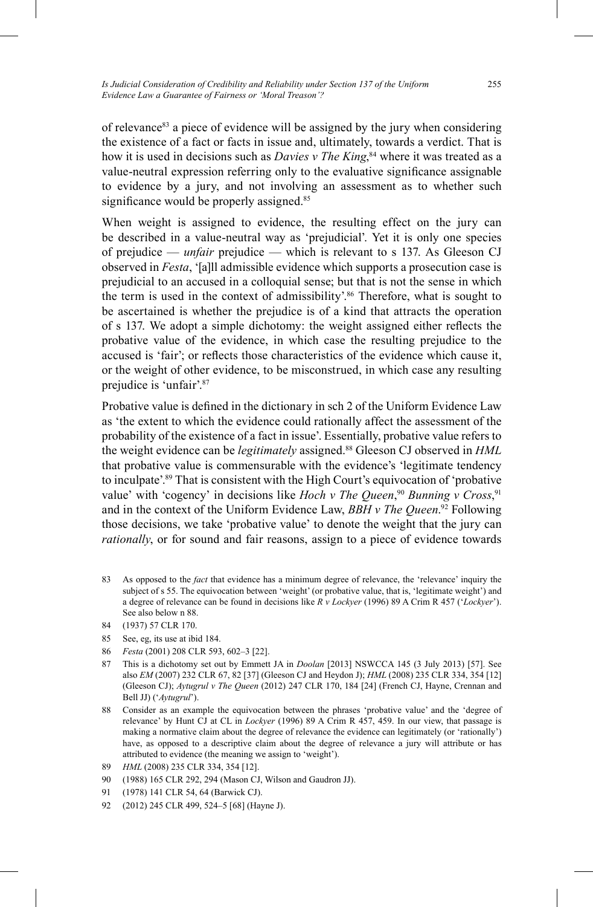of relevance<sup>83</sup> a piece of evidence will be assigned by the jury when considering the existence of a fact or facts in issue and, ultimately, towards a verdict. That is how it is used in decisions such as *Davies v The King*, <sup>84</sup> where it was treated as a value-neutral expression referring only to the evaluative significance assignable to evidence by a jury, and not involving an assessment as to whether such significance would be properly assigned.<sup>85</sup>

When weight is assigned to evidence, the resulting effect on the jury can be described in a value-neutral way as 'prejudicial'. Yet it is only one species of prejudice — *unfair* prejudice — which is relevant to s 137. As Gleeson CJ observed in *Festa*, '[a]ll admissible evidence which supports a prosecution case is prejudicial to an accused in a colloquial sense; but that is not the sense in which the term is used in the context of admissibility'. 86 Therefore, what is sought to be ascertained is whether the prejudice is of a kind that attracts the operation of s 137. We adopt a simple dichotomy: the weight assigned either reflects the probative value of the evidence, in which case the resulting prejudice to the accused is 'fair'; or reflects those characteristics of the evidence which cause it, or the weight of other evidence, to be misconstrued, in which case any resulting prejudice is 'unfair'. 87

Probative value is defined in the dictionary in sch 2 of the Uniform Evidence Law as 'the extent to which the evidence could rationally affect the assessment of the probability of the existence of a fact in issue'. Essentially, probative value refers to the weight evidence can be *legitimately* assigned. <sup>88</sup> Gleeson CJ observed in *HML* that probative value is commensurable with the evidence's 'legitimate tendency to inculpate'. 89 That is consistent with the High Court's equivocation of 'probative value' with 'cogency' in decisions like *Hoch v The Queen*,<sup>90</sup> *Bunning v Cross*,<sup>91</sup> and in the context of the Uniform Evidence Law, *BBH v The Queen*. 92 Following those decisions, we take 'probative value' to denote the weight that the jury can *rationally*, or for sound and fair reasons, assign to a piece of evidence towards

83 As opposed to the *fact* that evidence has a minimum degree of relevance, the 'relevance' inquiry the subject of s 55. The equivocation between 'weight' (or probative value, that is, 'legitimate weight') and a degree of relevance can be found in decisions like *R v Lockyer* (1996) 89 A Crim R 457 ('*Lockyer*'). See also below n 88.

- 85 See, eg, its use at ibid 184.
- 86 *Festa* (2001) 208 CLR 593, 602–3 [22].
- 87 This is a dichotomy set out by Emmett JA in *Doolan* [2013] NSWCCA 145 (3 July 2013) [57]. See also *EM* (2007) 232 CLR 67, 82 [37] (Gleeson CJ and Heydon J); *HML* (2008) 235 CLR 334, 354 [12] (Gleeson CJ); *Aytugrul v The Queen* (2012) 247 CLR 170, 184 [24] (French CJ, Hayne, Crennan and Bell JJ) ('*Aytugrul*').
- 88 Consider as an example the equivocation between the phrases 'probative value' and the 'degree of relevance' by Hunt CJ at CL in *Lockyer* (1996) 89 A Crim R 457, 459. In our view, that passage is making a normative claim about the degree of relevance the evidence can legitimately (or 'rationally') have, as opposed to a descriptive claim about the degree of relevance a jury will attribute or has attributed to evidence (the meaning we assign to 'weight').
- 89 *HML* (2008) 235 CLR 334, 354 [12].
- 90 (1988) 165 CLR 292, 294 (Mason CJ, Wilson and Gaudron JJ).
- 91 (1978) 141 CLR 54, 64 (Barwick CJ).
- 92 (2012) 245 CLR 499, 524–5 [68] (Hayne J).

<sup>84</sup> (1937) 57 CLR 170.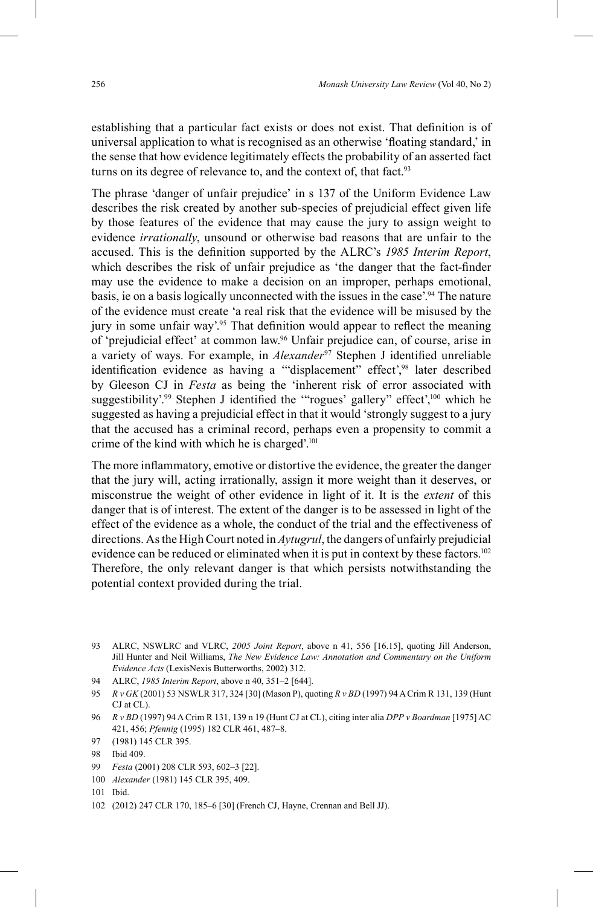establishing that a particular fact exists or does not exist. That definition is of universal application to what is recognised as an otherwise 'floating standard,' in the sense that how evidence legitimately effects the probability of an asserted fact turns on its degree of relevance to, and the context of, that fact.<sup>93</sup>

The phrase 'danger of unfair prejudice' in s 137 of the Uniform Evidence Law describes the risk created by another sub-species of prejudicial effect given life by those features of the evidence that may cause the jury to assign weight to evidence *irrationally*, unsound or otherwise bad reasons that are unfair to the accused. This is the definition supported by the ALRC's 1985 Interim Report, which describes the risk of unfair prejudice as 'the danger that the fact-finder may use the evidence to make a decision on an improper, perhaps emotional, basis, ie on a basis logically unconnected with the issues in the case'. 94 The nature of the evidence must create 'a real risk that the evidence will be misused by the jury in some unfair way'.<sup>95</sup> That definition would appear to reflect the meaning of 'prejudicial effect' at common law. 96 Unfair prejudice can, of course, arise in a variety of ways. For example, in *Alexander<sup>97</sup>* Stephen J identified unreliable identification evidence as having a "displacement" effect',<sup>98</sup> later described by Gleeson CJ in *Festa* as being the 'inherent risk of error associated with suggestibility'.<sup>99</sup> Stephen J identified the "'rogues' gallery" effect',<sup>100</sup> which he suggested as having a prejudicial effect in that it would 'strongly suggest to a jury that the accused has a criminal record, perhaps even a propensity to commit a crime of the kind with which he is charged'. 101

The more inflammatory, emotive or distortive the evidence, the greater the danger that the jury will, acting irrationally, assign it more weight than it deserves, or misconstrue the weight of other evidence in light of it. It is the *extent* of this danger that is of interest. The extent of the danger is to be assessed in light of the effect of the evidence as a whole, the conduct of the trial and the effectiveness of directions. As the High Court noted in *Aytugrul*, the dangers of unfairly prejudicial evidence can be reduced or eliminated when it is put in context by these factors.<sup>102</sup> Therefore, the only relevant danger is that which persists notwithstanding the potential context provided during the trial.

- 94 ALRC, *1985 Interim Report*, above n 40, 351–2 [644].
- 95 *R v GK* (2001) 53 NSWLR 317, 324 [30] (Mason P), quoting *R v BD* (1997) 94 A Crim R 131, 139 (Hunt CJ at CL).
- 96 *R v BD* (1997) 94 A Crim R 131, 139 n 19 (Hunt CJ at CL), citing inter alia *DPP v Boardman* [1975] AC 421, 456; *Pfennig* (1995) 182 CLR 461, 487–8.
- 97 (1981) 145 CLR 395.

- 99 *Festa* (2001) 208 CLR 593, 602–3 [22].
- 100 *Alexander* (1981) 145 CLR 395, 409.

102 (2012) 247 CLR 170, 185–6 [30] (French CJ, Hayne, Crennan and Bell JJ).

<sup>93</sup> ALRC, NSWLRC and VLRC, *2005 Joint Report*, above n 41, 556 [16.15], quoting Jill Anderson, Jill Hunter and Neil Williams, *The New Evidence Law: Annotation and Commentary on the Uniform Evidence Acts* (LexisNexis Butterworths, 2002) 312.

<sup>98</sup> Ibid 409.

<sup>101</sup> Ibid.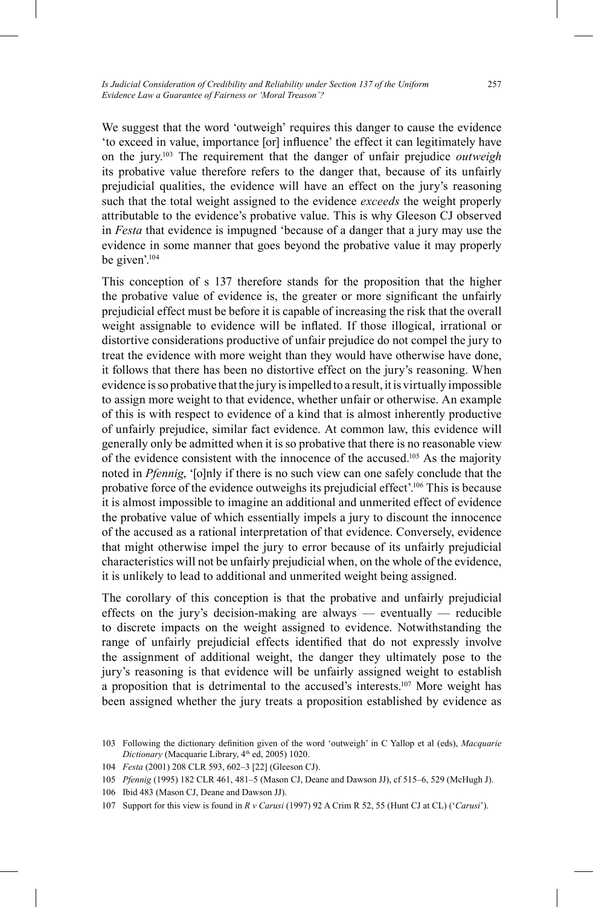We suggest that the word 'outweigh' requires this danger to cause the evidence 'to exceed in value, importance [or] influence' the effect it can legitimately have on the jury. 103 The requirement that the danger of unfair prejudice *outweigh* its probative value therefore refers to the danger that, because of its unfairly prejudicial qualities, the evidence will have an effect on the jury's reasoning such that the total weight assigned to the evidence *exceeds* the weight properly attributable to the evidence's probative value. This is why Gleeson CJ observed in *Festa* that evidence is impugned 'because of a danger that a jury may use the evidence in some manner that goes beyond the probative value it may properly be given'. 104

This conception of s 137 therefore stands for the proposition that the higher the probative value of evidence is, the greater or more significant the unfairly prejudicial effect must be before it is capable of increasing the risk that the overall weight assignable to evidence will be inflated. If those illogical, irrational or distortive considerations productive of unfair prejudice do not compel the jury to treat the evidence with more weight than they would have otherwise have done, it follows that there has been no distortive effect on the jury's reasoning. When evidence is so probative that the jury is impelled to a result, it is virtually impossible to assign more weight to that evidence, whether unfair or otherwise. An example of this is with respect to evidence of a kind that is almost inherently productive of unfairly prejudice, similar fact evidence. At common law, this evidence will generally only be admitted when it is so probative that there is no reasonable view of the evidence consistent with the innocence of the accused.105 As the majority noted in *Pfennig*, '[o]nly if there is no such view can one safely conclude that the probative force of the evidence outweighs its prejudicial effect'. 106 This is because it is almost impossible to imagine an additional and unmerited effect of evidence the probative value of which essentially impels a jury to discount the innocence of the accused as a rational interpretation of that evidence. Conversely, evidence that might otherwise impel the jury to error because of its unfairly prejudicial characteristics will not be unfairly prejudicial when, on the whole of the evidence, it is unlikely to lead to additional and unmerited weight being assigned.

The corollary of this conception is that the probative and unfairly prejudicial effects on the jury's decision-making are always — eventually — reducible to discrete impacts on the weight assigned to evidence. Notwithstanding the range of unfairly prejudicial effects identified that do not expressly involve the assignment of additional weight, the danger they ultimately pose to the jury's reasoning is that evidence will be unfairly assigned weight to establish a proposition that is detrimental to the accused's interests. 107 More weight has been assigned whether the jury treats a proposition established by evidence as

<sup>103</sup> Following the dictionary definition given of the word 'outweigh' in C Yallop et al (eds), *Macquarie* Dictionary (Macquarie Library, 4<sup>th</sup> ed, 2005) 1020.

<sup>104</sup> *Festa* (2001) 208 CLR 593, 602–3 [22] (Gleeson CJ).

<sup>105</sup> *Pfennig* (1995) 182 CLR 461, 481–5 (Mason CJ, Deane and Dawson JJ), cf 515–6, 529 (McHugh J).

<sup>106</sup> Ibid 483 (Mason CJ, Deane and Dawson JJ).

<sup>107</sup> Support for this view is found in *R v Carusi* (1997) 92 A Crim R 52, 55 (Hunt CJ at CL) ('*Carusi*').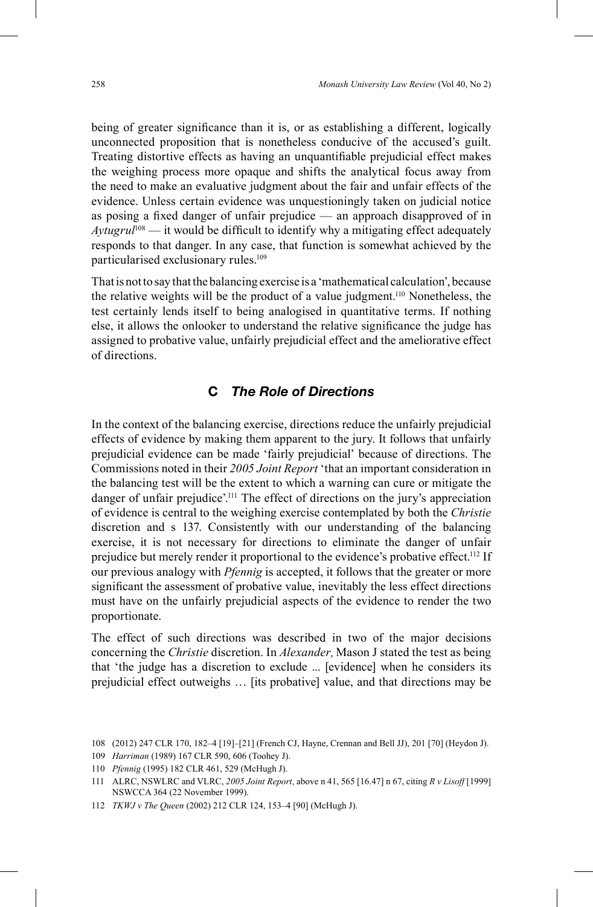being of greater significance than it is, or as establishing a different, logically unconnected proposition that is nonetheless conducive of the accused's guilt. Treating distortive effects as having an unquantifiable prejudicial effect makes the weighing process more opaque and shifts the analytical focus away from the need to make an evaluative judgment about the fair and unfair effects of the evidence. Unless certain evidence was unquestioningly taken on judicial notice as posing a fixed danger of unfair prejudice — an approach disapproved of in  $A y t u g r u^{108}$  — it would be difficult to identify why a mitigating effect adequately responds to that danger. In any case, that function is somewhat achieved by the particularised exclusionary rules. 109

That is not to say that the balancing exercise is a 'mathematical calculation', because the relative weights will be the product of a value judgment. 110 Nonetheless, the test certainly lends itself to being analogised in quantitative terms. If nothing else, it allows the onlooker to understand the relative significance the judge has assigned to probative value, unfairly prejudicial effect and the ameliorative effect of directions.

## **C** *The Role of Directions*

In the context of the balancing exercise, directions reduce the unfairly prejudicial effects of evidence by making them apparent to the jury. It follows that unfairly prejudicial evidence can be made 'fairly prejudicial' because of directions. The Commissions noted in their *2005 Joint Report* 'that an important consideration in the balancing test will be the extent to which a warning can cure or mitigate the danger of unfair prejudice'. 111 The effect of directions on the jury's appreciation of evidence is central to the weighing exercise contemplated by both the *Christie*  discretion and s 137. Consistently with our understanding of the balancing exercise, it is not necessary for directions to eliminate the danger of unfair prejudice but merely render it proportional to the evidence's probative effect.<sup>112</sup> If our previous analogy with *Pfennig* is accepted, it follows that the greater or more significant the assessment of probative value, inevitably the less effect directions must have on the unfairly prejudicial aspects of the evidence to render the two proportionate.

The effect of such directions was described in two of the major decisions concerning the *Christie* discretion. In *Alexander*, Mason J stated the test as being that 'the judge has a discretion to exclude ... [evidence] when he considers its prejudicial effect outweighs … [its probative] value, and that directions may be

<sup>108</sup> (2012) 247 CLR 170, 182–4 [19]–[21] (French CJ, Hayne, Crennan and Bell JJ), 201 [70] (Heydon J).

<sup>109</sup> *Harriman* (1989) 167 CLR 590, 606 (Toohey J).

<sup>110</sup> *Pfennig* (1995) 182 CLR 461, 529 (McHugh J).

<sup>111</sup> ALRC, NSWLRC and VLRC, *2005 Joint Report*, above n 41, 565 [16.47] n 67, citing *R v Lisoff* [1999] NSWCCA 364 (22 November 1999).

<sup>112</sup> *TKWJ v The Queen* (2002) 212 CLR 124, 153–4 [90] (McHugh J).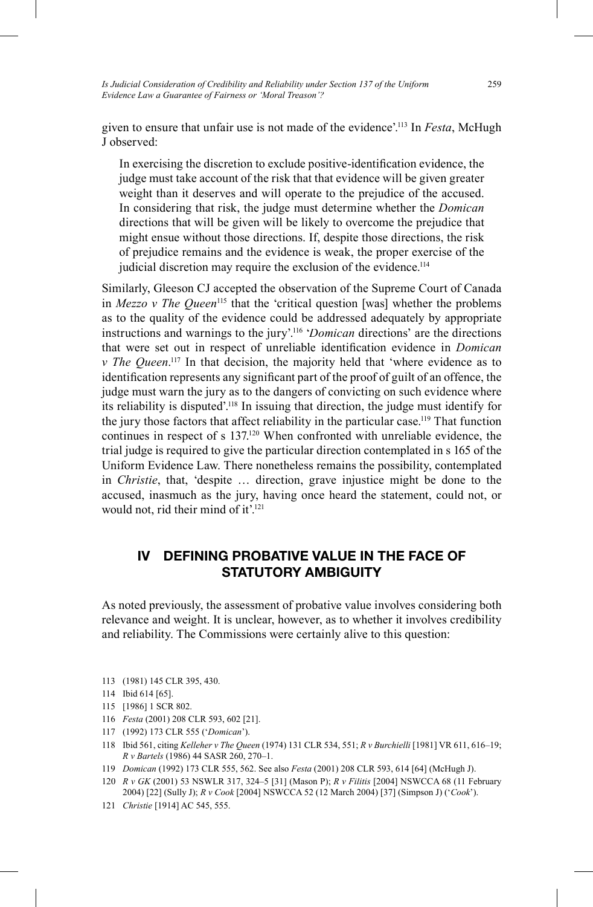*Is Judicial Consideration of Credibility and Reliability under Section 137 of the Uniform Evidence Law a Guarantee of Fairness or 'Moral Treason'?*

given to ensure that unfair use is not made of the evidence'. 113 In *Festa*, McHugh J observed:

In exercising the discretion to exclude positive-identification evidence, the judge must take account of the risk that that evidence will be given greater weight than it deserves and will operate to the prejudice of the accused. In considering that risk, the judge must determine whether the *Domican* directions that will be given will be likely to overcome the prejudice that might ensue without those directions. If, despite those directions, the risk of prejudice remains and the evidence is weak, the proper exercise of the judicial discretion may require the exclusion of the evidence.<sup>114</sup>

Similarly, Gleeson CJ accepted the observation of the Supreme Court of Canada in *Mezzo v The Queen*<sup>115</sup> that the 'critical question [was] whether the problems as to the quality of the evidence could be addressed adequately by appropriate instructions and warnings to the jury'. 116 '*Domican* directions' are the directions that were set out in respect of unreliable identification evidence in *Domican v* The Queen.<sup>117</sup> In that decision, the majority held that 'where evidence as to identification represents any significant part of the proof of guilt of an offence, the judge must warn the jury as to the dangers of convicting on such evidence where its reliability is disputed'.<sup>118</sup> In issuing that direction, the judge must identify for the jury those factors that affect reliability in the particular case. 119 That function continues in respect of s 137. 120 When confronted with unreliable evidence, the trial judge is required to give the particular direction contemplated in s 165 of the Uniform Evidence Law. There nonetheless remains the possibility, contemplated in *Christie*, that, 'despite … direction, grave injustice might be done to the accused, inasmuch as the jury, having once heard the statement, could not, or would not, rid their mind of it'.<sup>121</sup>

## **IV DEFINING PROBATIVE VALUE IN THE FACE OF STATUTORY AMBIGUITY**

As noted previously, the assessment of probative value involves considering both relevance and weight. It is unclear, however, as to whether it involves credibility and reliability. The Commissions were certainly alive to this question:

- 113 (1981) 145 CLR 395, 430.
- 114 Ibid 614 [65].
- 115 [1986] 1 SCR 802.
- 116 *Festa* (2001) 208 CLR 593, 602 [21].
- 117 (1992) 173 CLR 555 ('*Domican*').
- 118 Ibid 561, citing *Kelleher v The Queen* (1974) 131 CLR 534, 551; *R v Burchielli* [1981] VR 611, 616–19; *R v Bartels* (1986) 44 SASR 260, 270–1.
- 119 *Domican* (1992) 173 CLR 555, 562. See also *Festa* (2001) 208 CLR 593, 614 [64] (McHugh J).
- 120 *R v GK* (2001) 53 NSWLR 317, 324–5 [31] (Mason P); *R v Filitis* [2004] NSWCCA 68 (11 February 2004) [22] (Sully J); *R v Cook* [2004] NSWCCA 52 (12 March 2004) [37] (Simpson J) ('*Cook*').
- 121 *Christie* [1914] AC 545, 555.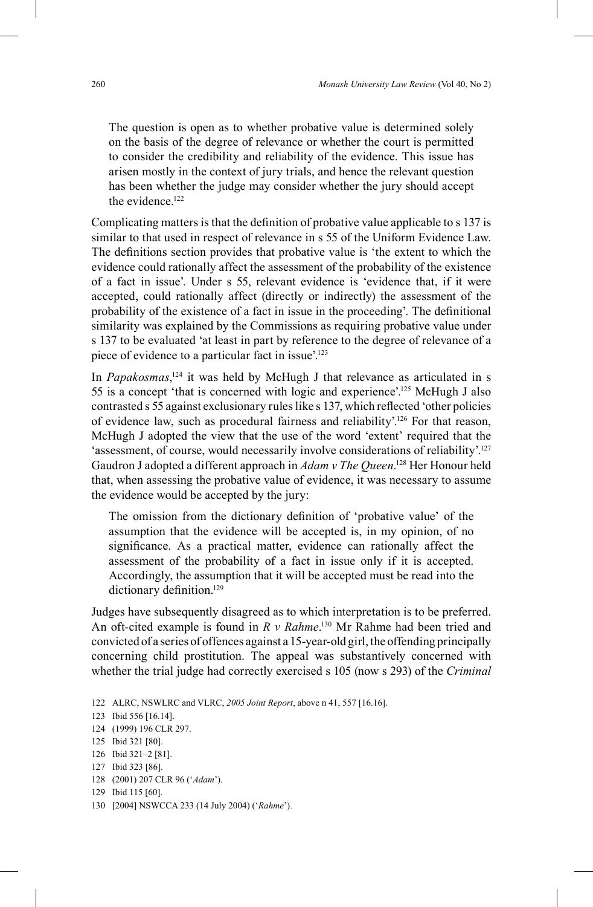The question is open as to whether probative value is determined solely on the basis of the degree of relevance or whether the court is permitted to consider the credibility and reliability of the evidence. This issue has arisen mostly in the context of jury trials, and hence the relevant question has been whether the judge may consider whether the jury should accept the evidence.<sup>122</sup>

Complicating matters is that the definition of probative value applicable to s 137 is similar to that used in respect of relevance in s 55 of the Uniform Evidence Law. The definitions section provides that probative value is 'the extent to which the evidence could rationally affect the assessment of the probability of the existence of a fact in issue'. Under s 55, relevant evidence is 'evidence that, if it were accepted, could rationally affect (directly or indirectly) the assessment of the probability of the existence of a fact in issue in the proceeding'. The definitional similarity was explained by the Commissions as requiring probative value under s 137 to be evaluated 'at least in part by reference to the degree of relevance of a piece of evidence to a particular fact in issue'. 123

In *Papakosmas*,<sup>124</sup> it was held by McHugh J that relevance as articulated in s 55 is a concept 'that is concerned with logic and experience'. 125 McHugh J also contrasted s 55 against exclusionary rules like s 137, which reflected 'other policies of evidence law, such as procedural fairness and reliability'. 126 For that reason, McHugh J adopted the view that the use of the word 'extent' required that the 'assessment, of course, would necessarily involve considerations of reliability'.<sup>127</sup> Gaudron J adopted a different approach in *Adam v The Queen*. <sup>128</sup> Her Honour held that, when assessing the probative value of evidence, it was necessary to assume the evidence would be accepted by the jury:

The omission from the dictionary definition of 'probative value' of the assumption that the evidence will be accepted is, in my opinion, of no significance. As a practical matter, evidence can rationally affect the assessment of the probability of a fact in issue only if it is accepted. Accordingly, the assumption that it will be accepted must be read into the dictionary definition.<sup>129</sup>

Judges have subsequently disagreed as to which interpretation is to be preferred. An oft-cited example is found in *R v Rahme*. 130 Mr Rahme had been tried and convicted of a series of offences against a 15-year-old girl, the offending principally concerning child prostitution. The appeal was substantively concerned with whether the trial judge had correctly exercised s 105 (now s 293) of the *Criminal* 

<sup>122</sup> ALRC, NSWLRC and VLRC, *2005 Joint Report*, above n 41, 557 [16.16].

<sup>123</sup> Ibid 556 [16.14].

<sup>124</sup> (1999) 196 CLR 297.

<sup>125</sup> Ibid 321 [80].

<sup>126</sup> Ibid 321–2 [81].

<sup>127</sup> Ibid 323 [86].

<sup>128</sup> (2001) 207 CLR 96 ('*Adam*').

<sup>129</sup> Ibid 115 [60].

<sup>130 [2004]</sup> NSWCCA 233 (14 July 2004) ('*Rahme*').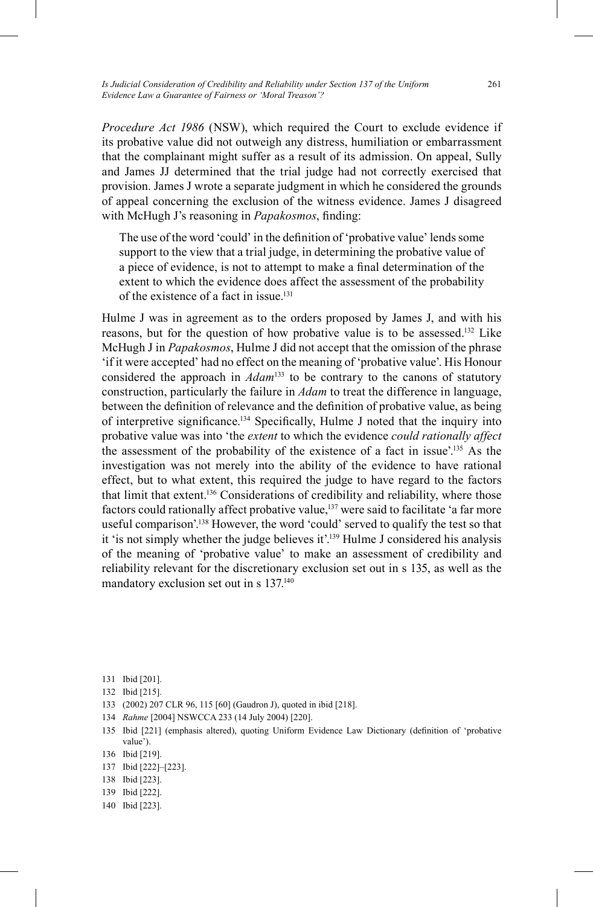*Procedure Act 1986* (NSW), which required the Court to exclude evidence if its probative value did not outweigh any distress, humiliation or embarrassment that the complainant might suffer as a result of its admission. On appeal, Sully and James JJ determined that the trial judge had not correctly exercised that provision. James J wrote a separate judgment in which he considered the grounds of appeal concerning the exclusion of the witness evidence. James J disagreed with McHugh J's reasoning in *Papakosmos*, finding:

The use of the word 'could' in the definition of 'probative value' lends some support to the view that a trial judge, in determining the probative value of a piece of evidence, is not to attempt to make a final determination of the extent to which the evidence does affect the assessment of the probability of the existence of a fact in issue.131

Hulme J was in agreement as to the orders proposed by James J, and with his reasons, but for the question of how probative value is to be assessed. 132 Like McHugh J in *Papakosmos*, Hulme J did not accept that the omission of the phrase 'if it were accepted' had no effect on the meaning of 'probative value'. His Honour considered the approach in *Adam*<sup>133</sup> to be contrary to the canons of statutory construction, particularly the failure in *Adam* to treat the difference in language, between the definition of relevance and the definition of probative value, as being of interpretive significance.<sup>134</sup> Specifically, Hulme J noted that the inquiry into probative value was into 'the *extent* to which the evidence *could rationally affect* the assessment of the probability of the existence of a fact in issue'. 135 As the investigation was not merely into the ability of the evidence to have rational effect, but to what extent, this required the judge to have regard to the factors that limit that extent. 136 Considerations of credibility and reliability, where those factors could rationally affect probative value,<sup>137</sup> were said to facilitate 'a far more useful comparison'. 138 However, the word 'could' served to qualify the test so that it 'is not simply whether the judge believes it'.<sup>139</sup> Hulme J considered his analysis of the meaning of 'probative value' to make an assessment of credibility and reliability relevant for the discretionary exclusion set out in s 135, as well as the mandatory exclusion set out in s 137.<sup>140</sup>

131 Ibid [201].

- 132 Ibid [215].
- 133 (2002) 207 CLR 96, 115 [60] (Gaudron J), quoted in ibid [218].
- 134 *Rahme* [2004] NSWCCA 233 (14 July 2004) [220].
- 135 Ibid [221] (emphasis altered), quoting Uniform Evidence Law Dictionary (definition of 'probative value').
- 136 Ibid [219].
- 137 Ibid [222]–[223].
- 138 Ibid [223].
- 139 Ibid [222].
- 140 Ibid [223].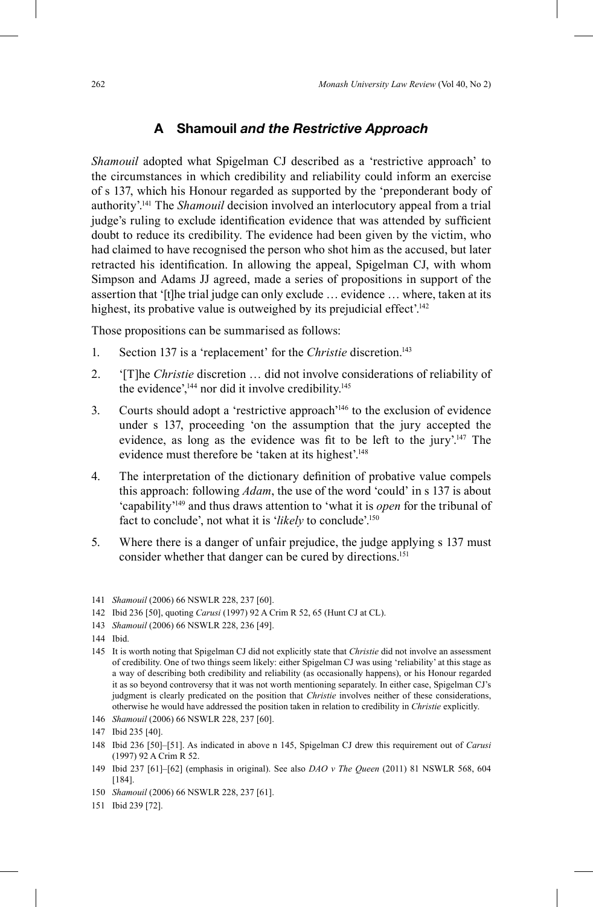## **A Shamouil** *and the Restrictive Approach*

*Shamouil* adopted what Spigelman CJ described as a 'restrictive approach' to the circumstances in which credibility and reliability could inform an exercise of s 137, which his Honour regarded as supported by the 'preponderant body of authority'. 141 The *Shamouil* decision involved an interlocutory appeal from a trial judge's ruling to exclude identification evidence that was attended by sufficient doubt to reduce its credibility. The evidence had been given by the victim, who had claimed to have recognised the person who shot him as the accused, but later retracted his identification. In allowing the appeal, Spigelman CJ, with whom Simpson and Adams JJ agreed, made a series of propositions in support of the assertion that '[t]he trial judge can only exclude … evidence … where, taken at its highest, its probative value is outweighed by its prejudicial effect'.<sup>142</sup>

Those propositions can be summarised as follows:

- 1. Section 137 is a 'replacement' for the *Christie* discretion. 143
- 2. '[T]he *Christie* discretion … did not involve considerations of reliability of the evidence',<sup>144</sup> nor did it involve credibility.<sup>145</sup>
- 3. Courts should adopt a 'restrictive approach' 146 to the exclusion of evidence under s 137, proceeding 'on the assumption that the jury accepted the evidence, as long as the evidence was fit to be left to the jury'.<sup>147</sup> The evidence must therefore be 'taken at its highest'. 148
- 4. The interpretation of the dictionary definition of probative value compels this approach: following *Adam*, the use of the word 'could' in s 137 is about 'capability' 149 and thus draws attention to 'what it is *open* for the tribunal of fact to conclude', not what it is '*likely* to conclude'. 150
- 5. Where there is a danger of unfair prejudice, the judge applying s 137 must consider whether that danger can be cured by directions. 151

- 145 It is worth noting that Spigelman CJ did not explicitly state that *Christie* did not involve an assessment of credibility. One of two things seem likely: either Spigelman CJ was using 'reliability' at this stage as a way of describing both credibility and reliability (as occasionally happens), or his Honour regarded it as so beyond controversy that it was not worth mentioning separately. In either case, Spigelman CJ's judgment is clearly predicated on the position that *Christie* involves neither of these considerations, otherwise he would have addressed the position taken in relation to credibility in *Christie* explicitly.
- 146 *Shamouil* (2006) 66 NSWLR 228, 237 [60].

- 148 Ibid 236 [50]–[51]. As indicated in above n 145, Spigelman CJ drew this requirement out of *Carusi*  (1997) 92 A Crim R 52.
- 149 Ibid 237 [61]–[62] (emphasis in original). See also *DAO v The Queen* (2011) 81 NSWLR 568, 604 [184].

151 Ibid 239 [72].

<sup>141</sup> *Shamouil* (2006) 66 NSWLR 228, 237 [60].

<sup>142</sup> Ibid 236 [50], quoting *Carusi* (1997) 92 A Crim R 52, 65 (Hunt CJ at CL).

<sup>143</sup> *Shamouil* (2006) 66 NSWLR 228, 236 [49].

<sup>144</sup> Ibid.

<sup>147</sup> Ibid 235 [40].

<sup>150</sup> *Shamouil* (2006) 66 NSWLR 228, 237 [61].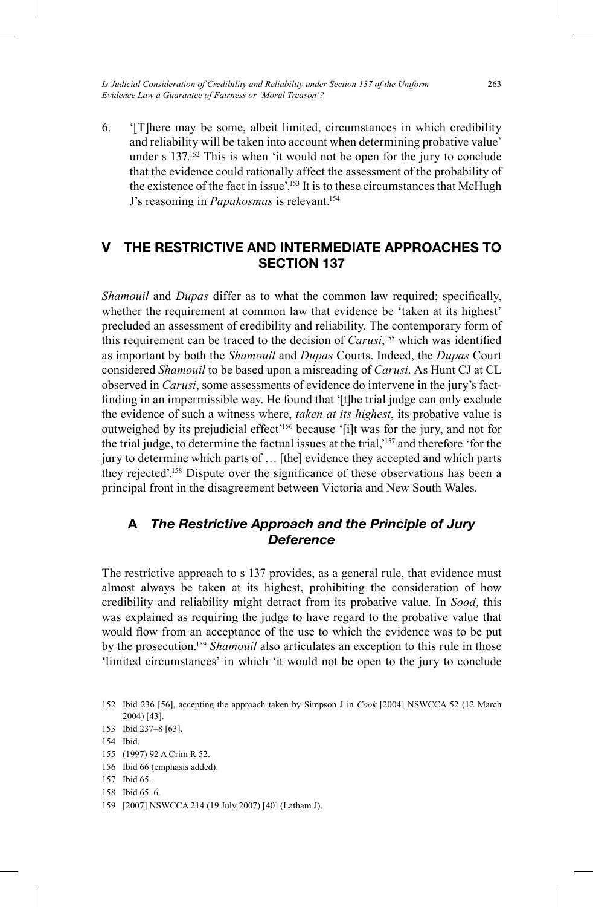*Is Judicial Consideration of Credibility and Reliability under Section 137 of the Uniform Evidence Law a Guarantee of Fairness or 'Moral Treason'?*

6. '[T]here may be some, albeit limited, circumstances in which credibility and reliability will be taken into account when determining probative value' under s 137. 152 This is when 'it would not be open for the jury to conclude that the evidence could rationally affect the assessment of the probability of the existence of the fact in issue'. 153 It is to these circumstances that McHugh J's reasoning in *Papakosmas* is relevant. 154

## **V THE RESTRICTIVE AND INTERMEDIATE APPROACHES TO SECTION 137**

*Shamouil* and *Dupas* differ as to what the common law required; specifically, whether the requirement at common law that evidence be 'taken at its highest' precluded an assessment of credibility and reliability. The contemporary form of this requirement can be traced to the decision of *Carusi*, <sup>155</sup> which was identified as important by both the *Shamouil* and *Dupas* Courts. Indeed, the *Dupas* Court considered *Shamouil* to be based upon a misreading of *Carusi*. As Hunt CJ at CL observed in *Carusi*, some assessments of evidence do intervene in the jury's factfinding in an impermissible way. He found that '[t]he trial judge can only exclude the evidence of such a witness where, *taken at its highest*, its probative value is outweighed by its prejudicial effect' 156 because '[i]t was for the jury, and not for the trial judge, to determine the factual issues at the trial,' 157 and therefore 'for the jury to determine which parts of … [the] evidence they accepted and which parts they rejected'.<sup>158</sup> Dispute over the significance of these observations has been a principal front in the disagreement between Victoria and New South Wales.

## **A** *The Restrictive Approach and the Principle of Jury Deference*

The restrictive approach to s 137 provides, as a general rule, that evidence must almost always be taken at its highest, prohibiting the consideration of how credibility and reliability might detract from its probative value. In *Sood*, this was explained as requiring the judge to have regard to the probative value that would flow from an acceptance of the use to which the evidence was to be put by the prosecution. <sup>159</sup> *Shamouil* also articulates an exception to this rule in those 'limited circumstances' in which 'it would not be open to the jury to conclude

<sup>152</sup> Ibid 236 [56], accepting the approach taken by Simpson J in *Cook* [2004] NSWCCA 52 (12 March 2004) [43].

<sup>153</sup> Ibid 237–8 [63].

<sup>154</sup> Ibid.

<sup>155</sup> (1997) 92 A Crim R 52.

<sup>156</sup> Ibid 66 (emphasis added).

<sup>157</sup> Ibid 65.

<sup>158</sup> Ibid 65–6.

<sup>159</sup> [2007] NSWCCA 214 (19 July 2007) [40] (Latham J).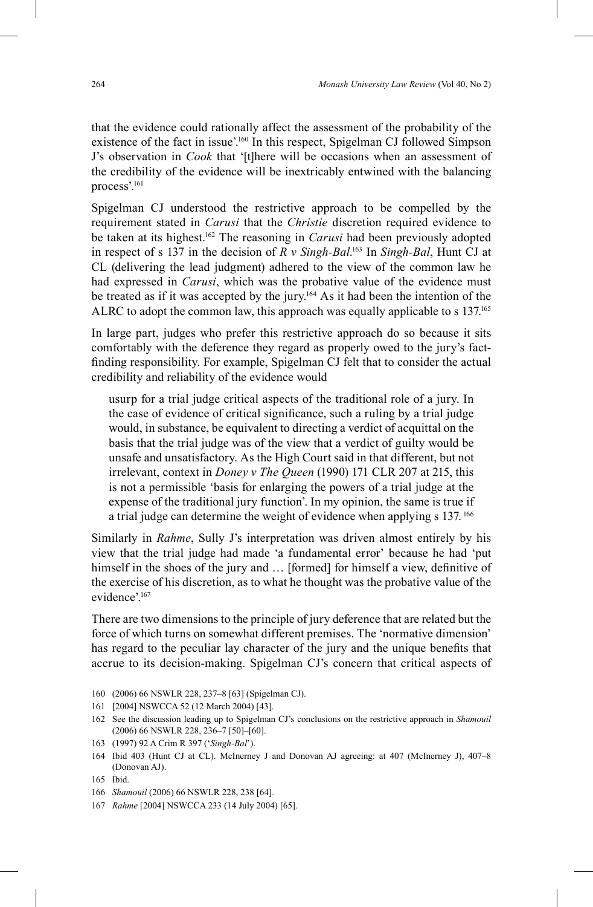that the evidence could rationally affect the assessment of the probability of the existence of the fact in issue'. 160 In this respect, Spigelman CJ followed Simpson J's observation in *Cook* that '[t]here will be occasions when an assessment of the credibility of the evidence will be inextricably entwined with the balancing process'. 161

Spigelman CJ understood the restrictive approach to be compelled by the requirement stated in *Carusi* that the *Christie* discretion required evidence to be taken at its highest. <sup>162</sup> The reasoning in *Carusi* had been previously adopted in respect of s 137 in the decision of *R v Singh-Bal*. 163 In *Singh-Bal*, Hunt CJ at CL (delivering the lead judgment) adhered to the view of the common law he had expressed in *Carusi*, which was the probative value of the evidence must be treated as if it was accepted by the jury. 164 As it had been the intention of the ALRC to adopt the common law, this approach was equally applicable to s 137. 165

In large part, judges who prefer this restrictive approach do so because it sits comfortably with the deference they regard as properly owed to the jury's factfinding responsibility. For example, Spigelman CJ felt that to consider the actual credibility and reliability of the evidence would

usurp for a trial judge critical aspects of the traditional role of a jury. In the case of evidence of critical significance, such a ruling by a trial judge would, in substance, be equivalent to directing a verdict of acquittal on the basis that the trial judge was of the view that a verdict of guilty would be unsafe and unsatisfactory. As the High Court said in that different, but not irrelevant, context in *Doney v The Queen* (1990) 171 CLR 207 at 215, this is not a permissible 'basis for enlarging the powers of a trial judge at the expense of the traditional jury function'. In my opinion, the same is true if a trial judge can determine the weight of evidence when applying s 137.<sup>166</sup>

Similarly in *Rahme*, Sully J's interpretation was driven almost entirely by his view that the trial judge had made 'a fundamental error' because he had 'put himself in the shoes of the jury and ... [formed] for himself a view, definitive of the exercise of his discretion, as to what he thought was the probative value of the evidence'. 167

There are two dimensions to the principle of jury deference that are related but the force of which turns on somewhat different premises. The 'normative dimension' has regard to the peculiar lay character of the jury and the unique benefits that accrue to its decision-making. Spigelman CJ's concern that critical aspects of

- 160 (2006) 66 NSWLR 228, 237–8 [63] (Spigelman CJ).
- 161 [2004] NSWCCA 52 (12 March 2004) [43].
- 162 See the discussion leading up to Spigelman CJ's conclusions on the restrictive approach in *Shamouil*  (2006) 66 NSWLR 228, 236–7 [50]–[60].
- 163 (1997) 92 A Crim R 397 ('*Singh-Bal*').
- 164 Ibid 403 (Hunt CJ at CL). McInerney J and Donovan AJ agreeing: at 407 (McInerney J), 407–8 (Donovan AJ).

167 *Rahme* [2004] NSWCCA 233 (14 July 2004) [65].

<sup>165</sup> Ibid.

<sup>166</sup> *Shamouil* (2006) 66 NSWLR 228, 238 [64].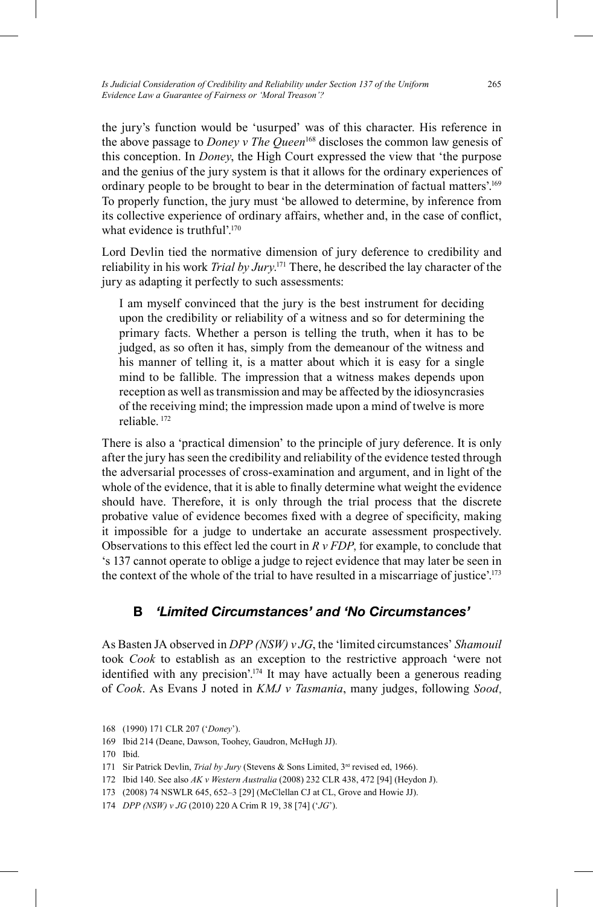the jury's function would be 'usurped' was of this character. His reference in the above passage to *Doney v The Queen*<sup>168</sup> discloses the common law genesis of this conception. In *Doney*, the High Court expressed the view that 'the purpose and the genius of the jury system is that it allows for the ordinary experiences of ordinary people to be brought to bear in the determination of factual matters'. 169 To properly function, the jury must 'be allowed to determine, by inference from its collective experience of ordinary affairs, whether and, in the case of conflict, what evidence is truthful'.<sup>170</sup>

Lord Devlin tied the normative dimension of jury deference to credibility and reliability in his work *Trial by Jury*. <sup>171</sup> There, he described the lay character of the jury as adapting it perfectly to such assessments:

I am myself convinced that the jury is the best instrument for deciding upon the credibility or reliability of a witness and so for determining the primary facts. Whether a person is telling the truth, when it has to be judged, as so often it has, simply from the demeanour of the witness and his manner of telling it, is a matter about which it is easy for a single mind to be fallible. The impression that a witness makes depends upon reception as well as transmission and may be affected by the idiosyncrasies of the receiving mind; the impression made upon a mind of twelve is more reliable. 172

There is also a 'practical dimension' to the principle of jury deference. It is only after the jury has seen the credibility and reliability of the evidence tested through the adversarial processes of cross-examination and argument, and in light of the whole of the evidence, that it is able to finally determine what weight the evidence should have. Therefore, it is only through the trial process that the discrete probative value of evidence becomes fixed with a degree of specificity, making it impossible for a judge to undertake an accurate assessment prospectively. Observations to this effect led the court in *R v FDP*, for example, to conclude that 's 137 cannot operate to oblige a judge to reject evidence that may later be seen in the context of the whole of the trial to have resulted in a miscarriage of justice'. 173

## **B** *'Limited Circumstances' and 'No Circumstances'*

As Basten JA observed in *DPP (NSW) v JG*, the 'limited circumstances' *Shamouil* took *Cook* to establish as an exception to the restrictive approach 'were not identified with any precision'.<sup>174</sup> It may have actually been a generous reading of *Cook*. As Evans J noted in *KMJ v Tasmania*, many judges, following *Sood*,

170 Ibid.

172 Ibid 140. See also *AK v Western Australia* (2008) 232 CLR 438, 472 [94] (Heydon J).

<sup>168</sup> (1990) 171 CLR 207 ('*Doney*').

<sup>169</sup> Ibid 214 (Deane, Dawson, Toohey, Gaudron, McHugh JJ).

<sup>171</sup> Sir Patrick Devlin, *Trial by Jury* (Stevens & Sons Limited, 3<sup>rd</sup> revised ed, 1966).

<sup>173 (2008) 74</sup> NSWLR 645, 652–3 [29] (McClellan CJ at CL, Grove and Howie JJ).

<sup>174</sup> *DPP (NSW) v JG* (2010) 220 A Crim R 19, 38 [74] ('*JG*').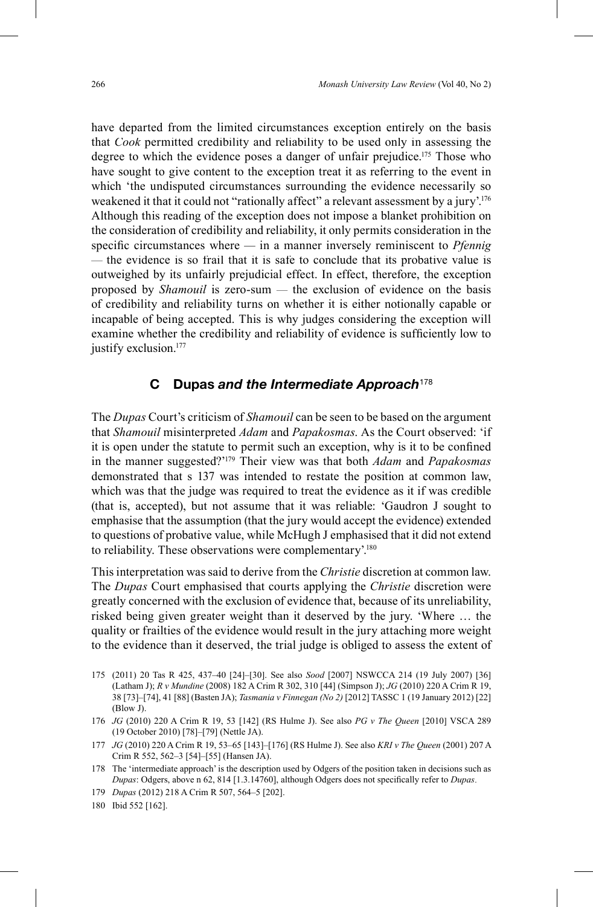have departed from the limited circumstances exception entirely on the basis that *Cook* permitted credibility and reliability to be used only in assessing the degree to which the evidence poses a danger of unfair prejudice.<sup>175</sup> Those who have sought to give content to the exception treat it as referring to the event in which 'the undisputed circumstances surrounding the evidence necessarily so weakened it that it could not "rationally affect" a relevant assessment by a jury'.<sup>176</sup> Although this reading of the exception does not impose a blanket prohibition on the consideration of credibility and reliability, it only permits consideration in the specific circumstances where — in a manner inversely reminiscent to *Pfennig —* the evidence is so frail that it is safe to conclude that its probative value is outweighed by its unfairly prejudicial effect. In effect, therefore, the exception proposed by *Shamouil* is zero-sum *—* the exclusion of evidence on the basis of credibility and reliability turns on whether it is either notionally capable or incapable of being accepted. This is why judges considering the exception will examine whether the credibility and reliability of evidence is sufficiently low to justify exclusion. 177

#### **C Dupas** *and the Intermediate Approach*<sup>178</sup>

The *Dupas* Court's criticism of *Shamouil* can be seen to be based on the argument that *Shamouil* misinterpreted *Adam* and *Papakosmas*. As the Court observed: 'if it is open under the statute to permit such an exception, why is it to be confined in the manner suggested?' 179 Their view was that both *Adam* and *Papakosmas*  demonstrated that s 137 was intended to restate the position at common law, which was that the judge was required to treat the evidence as it if was credible (that is, accepted), but not assume that it was reliable: 'Gaudron J sought to emphasise that the assumption (that the jury would accept the evidence) extended to questions of probative value, while McHugh J emphasised that it did not extend to reliability. These observations were complementary'.<sup>180</sup>

This interpretation was said to derive from the *Christie* discretion at common law. The *Dupas* Court emphasised that courts applying the *Christie* discretion were greatly concerned with the exclusion of evidence that, because of its unreliability, risked being given greater weight than it deserved by the jury. 'Where … the quality or frailties of the evidence would result in the jury attaching more weight to the evidence than it deserved, the trial judge is obliged to assess the extent of

- 175 (2011) 20 Tas R 425, 437–40 [24]–[30]. See also *Sood* [2007] NSWCCA 214 (19 July 2007) [36] (Latham J); *R v Mundine* (2008) 182 A Crim R 302, 310 [44] (Simpson J); *JG* (2010) 220 A Crim R 19, 38 [73]–[74], 41 [88] (Basten JA); *Tasmania v Finnegan (No 2)* [2012] TASSC 1 (19 January 2012) [22] (Blow J).
- 176 *JG* (2010) 220 A Crim R 19, 53 [142] (RS Hulme J). See also *PG v The Queen* [2010] VSCA 289 (19 October 2010) [78]–[79] (Nettle JA).
- 177 *JG* (2010) 220 A Crim R 19, 53–65 [143]–[176] (RS Hulme J). See also *KRI v The Queen* (2001) 207 A Crim R 552, 562–3 [54]–[55] (Hansen JA).
- 178 The 'intermediate approach' is the description used by Odgers of the position taken in decisions such as *Dupas*: Odgers, above n 62, 814 [1.3.14760], although Odgers does not specifically refer to *Dupas*.
- 179 *Dupas* (2012) 218 A Crim R 507, 564–5 [202].
- 180 Ibid 552 [162].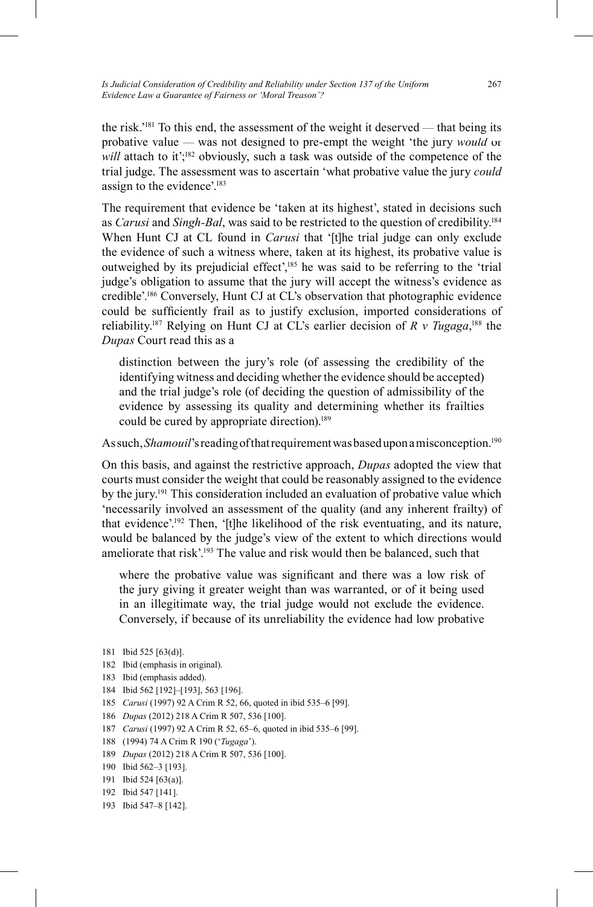the risk.'181 To this end, the assessment of the weight it deserved *—* that being its probative value *—* was not designed to pre-empt the weight 'the jury *would* or will attach to it';<sup>182</sup> obviously, such a task was outside of the competence of the trial judge. The assessment was to ascertain 'what probative value the jury *could* assign to the evidence'. 183

The requirement that evidence be 'taken at its highest', stated in decisions such as *Carusi* and *Singh-Bal*, was said to be restricted to the question of credibility. 184 When Hunt CJ at CL found in *Carusi* that '[t]he trial judge can only exclude the evidence of such a witness where, taken at its highest, its probative value is outweighed by its prejudicial effect',<sup>185</sup> he was said to be referring to the 'trial judge's obligation to assume that the jury will accept the witness's evidence as credible'. 186 Conversely, Hunt CJ at CL's observation that photographic evidence could be sufficiently frail as to justify exclusion, imported considerations of reliability.<sup>187</sup> Relying on Hunt CJ at CL's earlier decision of *R v Tugaga*,<sup>188</sup> the *Dupas* Court read this as a

distinction between the jury's role (of assessing the credibility of the identifying witness and deciding whether the evidence should be accepted) and the trial judge's role (of deciding the question of admissibility of the evidence by assessing its quality and determining whether its frailties could be cured by appropriate direction). 189

As such, *Shamouil'*s reading of that requirement was based upon a misconception.<sup>190</sup>

On this basis, and against the restrictive approach, *Dupas* adopted the view that courts must consider the weight that could be reasonably assigned to the evidence by the jury. 191 This consideration included an evaluation of probative value which 'necessarily involved an assessment of the quality (and any inherent frailty) of that evidence'. 192 Then, '[t]he likelihood of the risk eventuating, and its nature, would be balanced by the judge's view of the extent to which directions would ameliorate that risk'.<sup>193</sup> The value and risk would then be balanced, such that

where the probative value was significant and there was a low risk of the jury giving it greater weight than was warranted, or of it being used in an illegitimate way, the trial judge would not exclude the evidence. Conversely, if because of its unreliability the evidence had low probative

- 182 Ibid (emphasis in original).
- 183 Ibid (emphasis added).
- 184 Ibid 562 [192]–[193], 563 [196].
- 185 *Carusi* (1997) 92 A Crim R 52, 66, quoted in ibid 535–6 [99].
- 186 *Dupas* (2012) 218 A Crim R 507, 536 [100].
- 187 *Carusi* (1997) 92 A Crim R 52, 65–6, quoted in ibid 535–6 [99].
- 188 (1994) 74 A Crim R 190 ('*Tugaga*').
- 189 *Dupas* (2012) 218 A Crim R 507, 536 [100].
- 190 Ibid 562–3 [193].
- 191 Ibid 524 [63(a)].
- 192 Ibid 547 [141].
- 193 Ibid 547–8 [142].

<sup>181</sup> Ibid 525 [63(d)].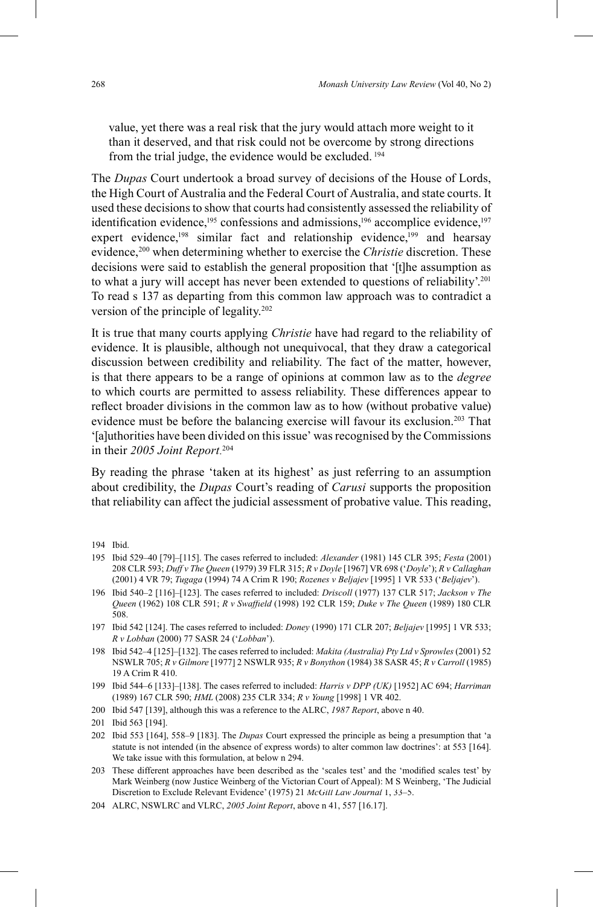value, yet there was a real risk that the jury would attach more weight to it than it deserved, and that risk could not be overcome by strong directions from the trial judge, the evidence would be excluded.<sup>194</sup>

The *Dupas* Court undertook a broad survey of decisions of the House of Lords, the High Court of Australia and the Federal Court of Australia, and state courts. It used these decisions to show that courts had consistently assessed the reliability of identification evidence,  $195$  confessions and admissions,  $196$  accomplice evidence,  $197$ expert evidence,<sup>198</sup> similar fact and relationship evidence,<sup>199</sup> and hearsay evidence, 200 when determining whether to exercise the *Christie* discretion. These decisions were said to establish the general proposition that '[t]he assumption as to what a jury will accept has never been extended to questions of reliability'. 201 To read s 137 as departing from this common law approach was to contradict a version of the principle of legality. 202

It is true that many courts applying *Christie* have had regard to the reliability of evidence. It is plausible, although not unequivocal, that they draw a categorical discussion between credibility and reliability. The fact of the matter, however, is that there appears to be a range of opinions at common law as to the *degree* to which courts are permitted to assess reliability. These differences appear to reflect broader divisions in the common law as to how (without probative value) evidence must be before the balancing exercise will favour its exclusion. 203 That '[a]uthorities have been divided on this issue' was recognised by the Commissions in their *2005 Joint Report*. 204

By reading the phrase 'taken at its highest' as just referring to an assumption about credibility, the *Dupas* Court's reading of *Carusi* supports the proposition that reliability can affect the judicial assessment of probative value. This reading,

196 Ibid 540–2 [116]–[123]. The cases referred to included: *Driscoll* (1977) 137 CLR 517; *Jackson v The Queen* (1962) 108 CLR 591; *R v Swaffıeld* (1998) 192 CLR 159; *Duke v The Queen* (1989) 180 CLR 508.

203 These different approaches have been described as the 'scales test' and the 'modified scales test' by Mark Weinberg (now Justice Weinberg of the Victorian Court of Appeal): M S Weinberg, 'The Judicial Discretion to Exclude Relevant Evidence' (1975) 21 *McGill Law Journal* 1, 33–5.

<sup>194</sup> Ibid.

<sup>195</sup> Ibid 529–40 [79]–[115]. The cases referred to included: *Alexander* (1981) 145 CLR 395; *Festa* (2001) 208 CLR 593; *Duff v The Queen* (1979) 39 FLR 315; *R v Doyle* [1967] VR 698 ('*Doyle*'); *R v Callaghan* (2001) 4 VR 79; *Tugaga* (1994) 74 A Crim R 190; *Rozenes v Beljajev* [1995] 1 VR 533 ('*Beljajev*').

<sup>197</sup> Ibid 542 [124]. The cases referred to included: *Doney* (1990) 171 CLR 207; *Beljajev* [1995] 1 VR 533; *R v Lobban* (2000) 77 SASR 24 ('*Lobban*').

<sup>198</sup> Ibid 542–4 [125]–[132]. The cases referred to included: *Makita (Australia) Pty Ltd v Sprowles* (2001) 52 NSWLR 705; *R v Gilmore* [1977] 2 NSWLR 935; *R v Bonython* (1984) 38 SASR 45; *R v Carroll* (1985) 19 A Crim R 410.

<sup>199</sup> Ibid 544–6 [133]–[138]. The cases referred to included: *Harris v DPP (UK)* [1952] AC 694; *Harriman* (1989) 167 CLR 590; *HML* (2008) 235 CLR 334; *R v Young* [1998] 1 VR 402.

<sup>200</sup> Ibid 547 [139], although this was a reference to the ALRC, *1987 Report*, above n 40.

<sup>201</sup> Ibid 563 [194].

<sup>202</sup> Ibid 553 [164], 558–9 [183]. The *Dupas* Court expressed the principle as being a presumption that 'a statute is not intended (in the absence of express words) to alter common law doctrines': at 553 [164]. We take issue with this formulation, at below n 294.

<sup>204</sup> ALRC, NSWLRC and VLRC, *2005 Joint Report*, above n 41, 557 [16.17].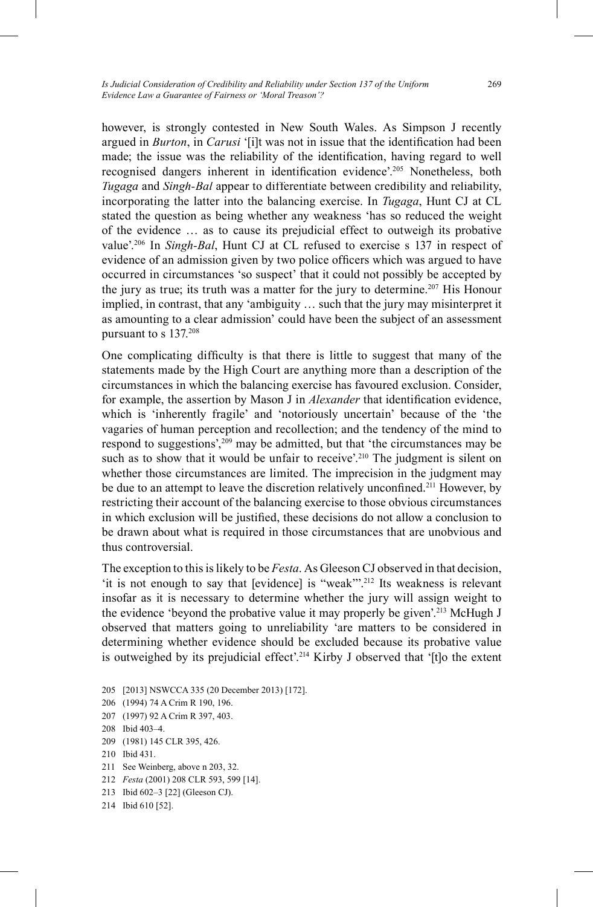however, is strongly contested in New South Wales. As Simpson J recently argued in *Burton*, in *Carusi* '[i]t was not in issue that the identification had been made; the issue was the reliability of the identification, having regard to well recognised dangers inherent in identification evidence'.<sup>205</sup> Nonetheless, both *Tugaga* and *Singh-Bal* appear to differentiate between credibility and reliability, incorporating the latter into the balancing exercise. In *Tugaga*, Hunt CJ at CL stated the question as being whether any weakness 'has so reduced the weight of the evidence … as to cause its prejudicial effect to outweigh its probative value'. 206 In *Singh-Bal*, Hunt CJ at CL refused to exercise s 137 in respect of evidence of an admission given by two police officers which was argued to have occurred in circumstances 'so suspect' that it could not possibly be accepted by the jury as true; its truth was a matter for the jury to determine. 207 His Honour implied, in contrast, that any 'ambiguity … such that the jury may misinterpret it as amounting to a clear admission' could have been the subject of an assessment pursuant to s 137. 208

One complicating difficulty is that there is little to suggest that many of the statements made by the High Court are anything more than a description of the circumstances in which the balancing exercise has favoured exclusion. Consider, for example, the assertion by Mason J in *Alexander* that identification evidence, which is 'inherently fragile' and 'notoriously uncertain' because of the 'the vagaries of human perception and recollection; and the tendency of the mind to respond to suggestions',209 may be admitted, but that 'the circumstances may be such as to show that it would be unfair to receive'.<sup>210</sup> The judgment is silent on whether those circumstances are limited. The imprecision in the judgment may be due to an attempt to leave the discretion relatively unconfined.<sup>211</sup> However, by restricting their account of the balancing exercise to those obvious circumstances in which exclusion will be justified, these decisions do not allow a conclusion to be drawn about what is required in those circumstances that are unobvious and thus controversial.

The exception to this is likely to be *Festa*. As Gleeson CJ observed in that decision, 'it is not enough to say that [evidence] is "weak"?<sup>212</sup> Its weakness is relevant insofar as it is necessary to determine whether the jury will assign weight to the evidence 'beyond the probative value it may properly be given'. 213 McHugh J observed that matters going to unreliability 'are matters to be considered in determining whether evidence should be excluded because its probative value is outweighed by its prejudicial effect'. 214 Kirby J observed that '[t]o the extent

- 205 [2013] NSWCCA 335 (20 December 2013) [172].
- 206 (1994) 74 A Crim R 190, 196.
- 207 (1997) 92 A Crim R 397, 403.
- 208 Ibid 403–4.
- 209 (1981) 145 CLR 395, 426.
- 210 Ibid 431.
- 211 See Weinberg, above n 203, 32.
- 212 *Festa* (2001) 208 CLR 593, 599 [14].
- 213 Ibid 602–3 [22] (Gleeson CJ).
- 214 Ibid 610 [52].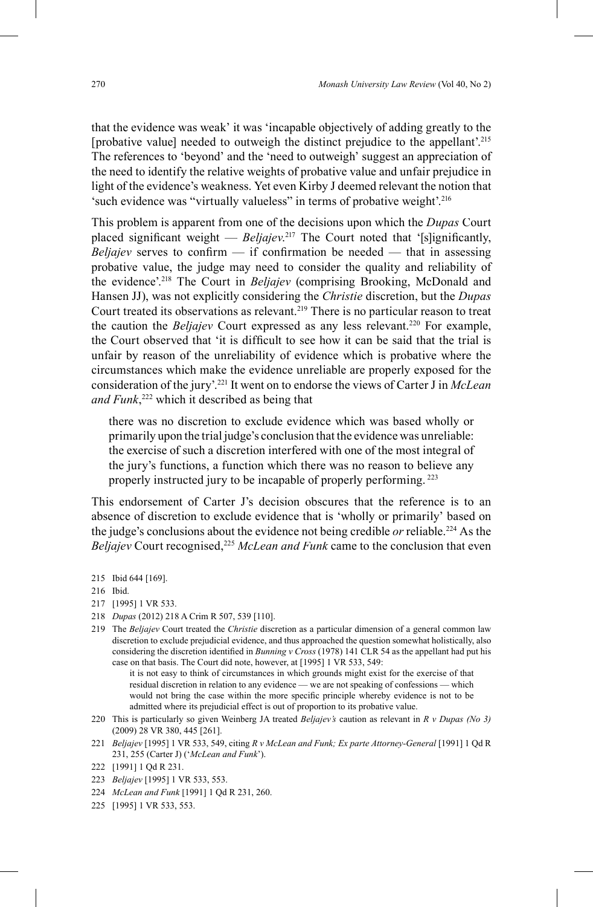that the evidence was weak' it was 'incapable objectively of adding greatly to the [probative value] needed to outweigh the distinct prejudice to the appellant'. 215 The references to 'beyond' and the 'need to outweigh' suggest an appreciation of the need to identify the relative weights of probative value and unfair prejudice in light of the evidence's weakness. Yet even Kirby J deemed relevant the notion that 'such evidence was "virtually valueless" in terms of probative weight'.<sup>216</sup>

This problem is apparent from one of the decisions upon which the *Dupas* Court placed significant weight — *Beljajev*.<sup>217</sup> The Court noted that '[s]ignificantly, *Beliajev* serves to confirm  $-$  if confirmation be needed  $-$  that in assessing probative value, the judge may need to consider the quality and reliability of the evidence'. 218 The Court in *Beljajev* (comprising Brooking, McDonald and Hansen JJ), was not explicitly considering the *Christie* discretion, but the *Dupas* Court treated its observations as relevant. 219 There is no particular reason to treat the caution the *Beljajev* Court expressed as any less relevant. 220 For example, the Court observed that 'it is difficult to see how it can be said that the trial is unfair by reason of the unreliability of evidence which is probative where the circumstances which make the evidence unreliable are properly exposed for the consideration of the jury'. 221 It went on to endorse the views of Carter J in *McLean and Funk*, 222 which it described as being that

there was no discretion to exclude evidence which was based wholly or primarily upon the trial judge's conclusion that the evidence was unreliable: the exercise of such a discretion interfered with one of the most integral of the jury's functions, a function which there was no reason to believe any properly instructed jury to be incapable of properly performing.<sup>223</sup>

This endorsement of Carter J's decision obscures that the reference is to an absence of discretion to exclude evidence that is 'wholly or primarily' based on the judge's conclusions about the evidence not being credible *or* reliable.224 As the *Beliaiev* Court recognised,<sup>225</sup> *McLean and Funk* came to the conclusion that even

215 Ibid 644 [169].

- 217 [1995] 1 VR 533.
- 218 *Dupas* (2012) 218 A Crim R 507, 539 [110].
- 219 The *Beljajev* Court treated the *Christie* discretion as a particular dimension of a general common law discretion to exclude prejudicial evidence, and thus approached the question somewhat holistically, also considering the discretion identified in *Bunning v Cross* (1978) 141 CLR 54 as the appellant had put his case on that basis. The Court did note, however, at [1995] 1 VR 533, 549:

 it is not easy to think of circumstances in which grounds might exist for the exercise of that residual discretion in relation to any evidence — we are not speaking of confessions — which would not bring the case within the more specific principle whereby evidence is not to be admitted where its prejudicial effect is out of proportion to its probative value.

- 220 This is particularly so given Weinberg JA treated *Beljajev's* caution as relevant in *R v Dupas (No 3)*  (2009) 28 VR 380, 445 [261].
- 221 *Beljajev* [1995] 1 VR 533, 549, citing *R v McLean and Funk; Ex parte Attorney-General* [1991] 1 Qd R 231, 255 (Carter J) ('*McLean and Funk*').
- 222 [1991] 1 Qd R 231.
- 223 *Beljajev* [1995] 1 VR 533, 553.
- 224 *McLean and Funk* [1991] 1 Qd R 231, 260.
- 225 [1995] 1 VR 533, 553.

<sup>216</sup> Ibid.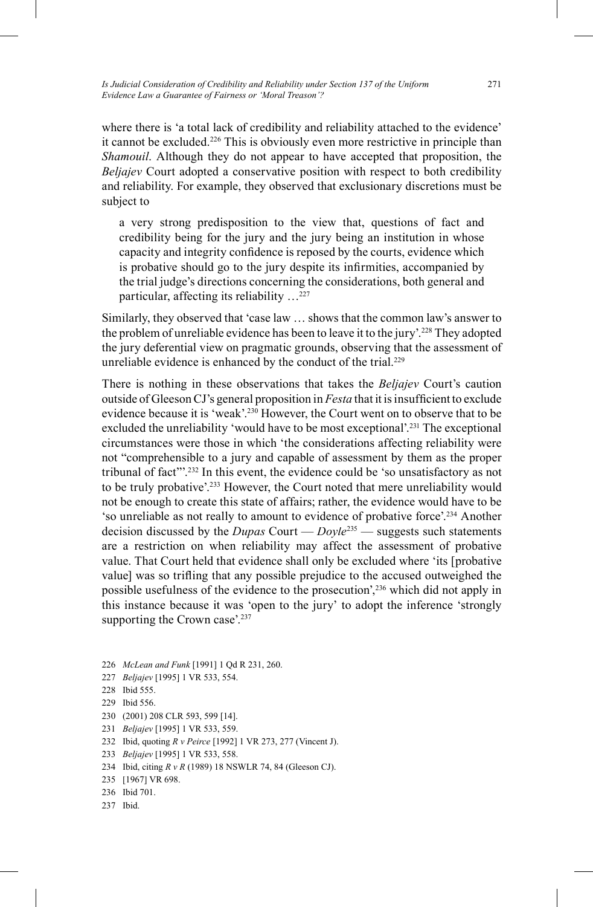*Is Judicial Consideration of Credibility and Reliability under Section 137 of the Uniform Evidence Law a Guarantee of Fairness or 'Moral Treason'?*

where there is 'a total lack of credibility and reliability attached to the evidence' it cannot be excluded.<sup>226</sup> This is obviously even more restrictive in principle than *Shamouil*. Although they do not appear to have accepted that proposition, the *Beljajev* Court adopted a conservative position with respect to both credibility and reliability. For example, they observed that exclusionary discretions must be subject to

a very strong predisposition to the view that, questions of fact and credibility being for the jury and the jury being an institution in whose capacity and integrity confidence is reposed by the courts, evidence which is probative should go to the jury despite its infirmities, accompanied by the trial judge's directions concerning the considerations, both general and particular, affecting its reliability …227

Similarly, they observed that 'case law … shows that the common law's answer to the problem of unreliable evidence has been to leave it to the jury'. 228 They adopted the jury deferential view on pragmatic grounds, observing that the assessment of unreliable evidence is enhanced by the conduct of the trial.<sup>229</sup>

There is nothing in these observations that takes the *Beljajev* Court's caution outside of Gleeson CJ's general proposition in *Festa* that it is insufficient to exclude evidence because it is 'weak'. 230 However, the Court went on to observe that to be excluded the unreliability 'would have to be most exceptional'.<sup>231</sup> The exceptional circumstances were those in which 'the considerations affecting reliability were not "comprehensible to a jury and capable of assessment by them as the proper tribunal of fact"'. 232 In this event, the evidence could be 'so unsatisfactory as not to be truly probative'. 233 However, the Court noted that mere unreliability would not be enough to create this state of affairs; rather, the evidence would have to be 'so unreliable as not really to amount to evidence of probative force'. 234 Another decision discussed by the *Dupas* Court — *Doyle*235 — suggests such statements are a restriction on when reliability may affect the assessment of probative value. That Court held that evidence shall only be excluded where 'its [probative value] was so trifling that any possible prejudice to the accused outweighed the possible usefulness of the evidence to the prosecution',236 which did not apply in this instance because it was 'open to the jury' to adopt the inference 'strongly supporting the Crown case'.<sup>237</sup>

- 226 *McLean and Funk* [1991] 1 Qd R 231, 260.
- 227 *Beljajev* [1995] 1 VR 533, 554.
- 228 Ibid 555.
- 229 Ibid 556.
- 230 (2001) 208 CLR 593, 599 [14].
- 231 *Beljajev* [1995] 1 VR 533, 559.
- 
- 232 Ibid, quoting *R v Peirce* [1992] 1 VR 273, 277 (Vincent J).
- 233 *Beljajev* [1995] 1 VR 533, 558.
- 234 Ibid, citing *R v R* (1989) 18 NSWLR 74, 84 (Gleeson CJ).
- 235 [1967] VR 698.
- 236 Ibid 701.
- 237 Ibid.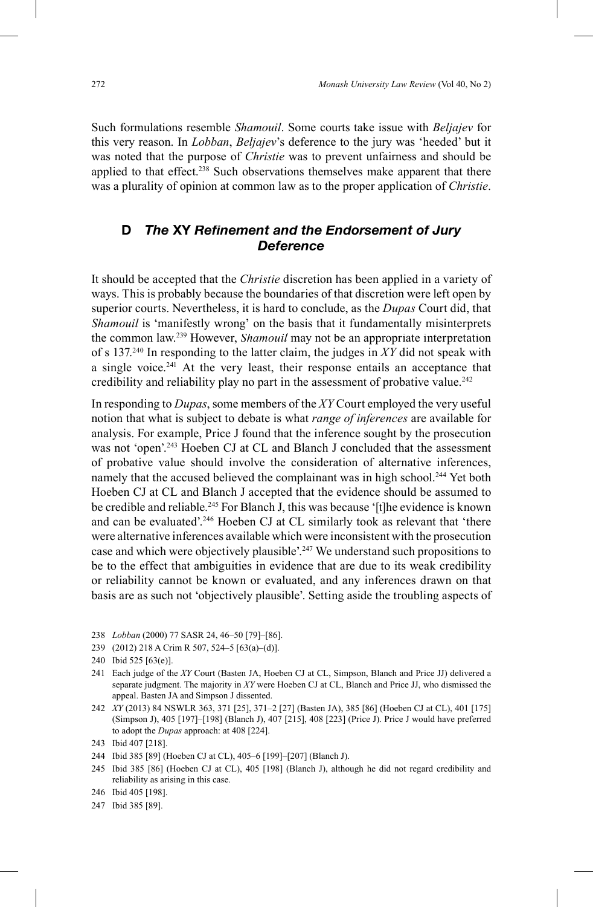Such formulations resemble *Shamouil*. Some courts take issue with *Beljajev* for this very reason. In *Lobban*, *Beljajev*'s deference to the jury was 'heeded' but it was noted that the purpose of *Christie* was to prevent unfairness and should be applied to that effect.<sup>238</sup> Such observations themselves make apparent that there was a plurality of opinion at common law as to the proper application of *Christie*.

## **D** The XY Refinement and the Endorsement of Jury *Deference*

It should be accepted that the *Christie* discretion has been applied in a variety of ways. This is probably because the boundaries of that discretion were left open by superior courts. Nevertheless, it is hard to conclude, as the *Dupas* Court did, that *Shamouil* is 'manifestly wrong' on the basis that it fundamentally misinterprets the common law.239 However, *Shamouil* may not be an appropriate interpretation of s 137. 240 In responding to the latter claim, the judges in *XY* did not speak with a single voice. 241 At the very least, their response entails an acceptance that credibility and reliability play no part in the assessment of probative value. 242

In responding to *Dupas*, some members of the *XY* Court employed the very useful notion that what is subject to debate is what *range of inferences* are available for analysis. For example, Price J found that the inference sought by the prosecution was not 'open'.<sup>243</sup> Hoeben CJ at CL and Blanch J concluded that the assessment of probative value should involve the consideration of alternative inferences, namely that the accused believed the complainant was in high school.<sup>244</sup> Yet both Hoeben CJ at CL and Blanch J accepted that the evidence should be assumed to be credible and reliable.<sup>245</sup> For Blanch J, this was because '[t]he evidence is known and can be evaluated'.<sup>246</sup> Hoeben CJ at CL similarly took as relevant that 'there were alternative inferences available which were inconsistent with the prosecution case and which were objectively plausible'. 247 We understand such propositions to be to the effect that ambiguities in evidence that are due to its weak credibility or reliability cannot be known or evaluated, and any inferences drawn on that basis are as such not 'objectively plausible'. Setting aside the troubling aspects of

- 238 *Lobban* (2000) 77 SASR 24, 46–50 [79]–[86].
- 239 (2012) 218 A Crim R 507, 524–5 [63(a)–(d)].

242 *XY* (2013) 84 NSWLR 363, 371 [25], 371–2 [27] (Basten JA), 385 [86] (Hoeben CJ at CL), 401 [175] (Simpson J), 405 [197]–[198] (Blanch J), 407 [215], 408 [223] (Price J). Price J would have preferred to adopt the *Dupas* approach: at 408 [224].

- 244 Ibid 385 [89] (Hoeben CJ at CL), 405–6 [199]–[207] (Blanch J).
- 245 Ibid 385 [86] (Hoeben CJ at CL), 405 [198] (Blanch J), although he did not regard credibility and reliability as arising in this case.
- 246 Ibid 405 [198].

<sup>240</sup> Ibid 525 [63(e)].

<sup>241</sup> Each judge of the *XY* Court (Basten JA, Hoeben CJ at CL, Simpson, Blanch and Price JJ) delivered a separate judgment. The majority in *XY* were Hoeben CJ at CL, Blanch and Price JJ, who dismissed the appeal. Basten JA and Simpson J dissented.

<sup>243</sup> Ibid 407 [218].

<sup>247</sup> Ibid 385 [89].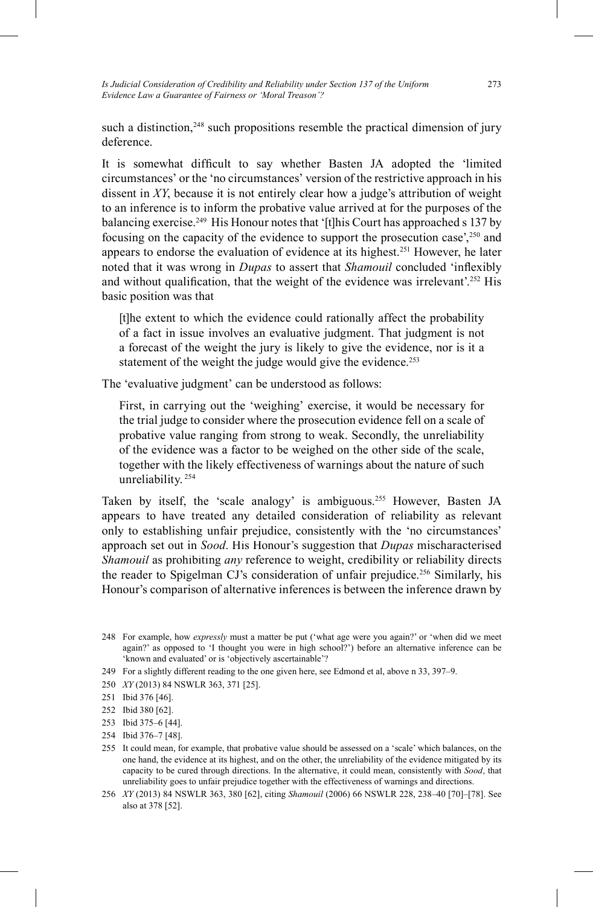*Is Judicial Consideration of Credibility and Reliability under Section 137 of the Uniform Evidence Law a Guarantee of Fairness or 'Moral Treason'?*

such a distinction,<sup>248</sup> such propositions resemble the practical dimension of jury deference.

It is somewhat difficult to say whether Basten JA adopted the 'limited circumstances' or the 'no circumstances' version of the restrictive approach in his dissent in *XY*, because it is not entirely clear how a judge's attribution of weight to an inference is to inform the probative value arrived at for the purposes of the balancing exercise. 249 His Honour notes that '[t]his Court has approached s 137 by focusing on the capacity of the evidence to support the prosecution case',250 and appears to endorse the evaluation of evidence at its highest. 251 However, he later noted that it was wrong in *Dupas* to assert that *Shamouil* concluded 'inflexibly and without qualification, that the weight of the evidence was irrelevant'.<sup>252</sup> His basic position was that

[t]he extent to which the evidence could rationally affect the probability of a fact in issue involves an evaluative judgment. That judgment is not a forecast of the weight the jury is likely to give the evidence, nor is it a statement of the weight the judge would give the evidence.<sup>253</sup>

The 'evaluative judgment' can be understood as follows:

First, in carrying out the 'weighing' exercise, it would be necessary for the trial judge to consider where the prosecution evidence fell on a scale of probative value ranging from strong to weak. Secondly, the unreliability of the evidence was a factor to be weighed on the other side of the scale, together with the likely effectiveness of warnings about the nature of such unreliability. 254

Taken by itself, the 'scale analogy' is ambiguous.<sup>255</sup> However, Basten JA appears to have treated any detailed consideration of reliability as relevant only to establishing unfair prejudice, consistently with the 'no circumstances' approach set out in *Sood*. His Honour's suggestion that *Dupas* mischaracterised *Shamouil* as prohibiting *any* reference to weight, credibility or reliability directs the reader to Spigelman CJ's consideration of unfair prejudice. 256 Similarly, his Honour's comparison of alternative inferences is between the inference drawn by

- 249 For a slightly different reading to the one given here, see Edmond et al, above n 33, 397 –9.
- 250 *XY* (2013) 84 NSWLR 363, 371 [25].
- 251 Ibid 376 [46].
- 252 Ibid 380 [62].
- 253 Ibid 375–6 [44].
- 254 Ibid 376–7 [48].
- 255 It could mean, for example, that probative value should be assessed on a 'scale' which balances, on the one hand, the evidence at its highest, and on the other, the unreliability of the evidence mitigated by its capacity to be cured through directions. In the alternative, it could mean, consistently with *Sood*, that unreliability goes to unfair prejudice together with the effectiveness of warnings and directions.
- 256 *XY* (2013) 84 NSWLR 363, 380 [62], citing *Shamouil* (2006) 66 NSWLR 228, 238 –40 [70]–[78]. See also at 378 [52].

<sup>248</sup> For example, how *expressly* must a matter be put ('what age were you again?' or 'when did we meet again?' as opposed to 'I thought you were in high school?') before an alternative inference can be 'known and evaluated' or is 'objectively ascertainable'?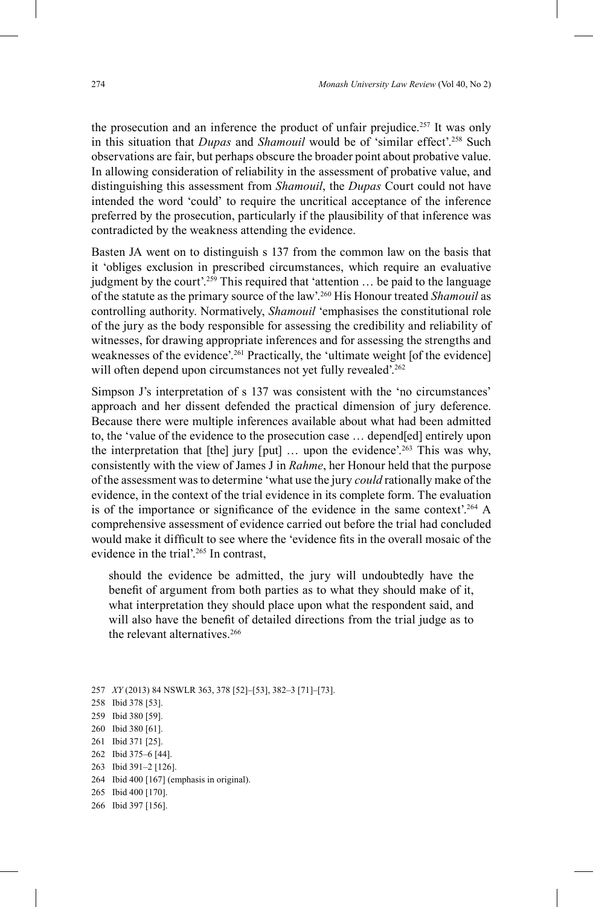the prosecution and an inference the product of unfair prejudice. 257 It was only in this situation that *Dupas* and *Shamouil* would be of 'similar effect'. <sup>258</sup> Such observations are fair, but perhaps obscure the broader point about probative value. In allowing consideration of reliability in the assessment of probative value, and distinguishing this assessment from *Shamouil*, the *Dupas* Court could not have intended the word 'could' to require the uncritical acceptance of the inference preferred by the prosecution, particularly if the plausibility of that inference was contradicted by the weakness attending the evidence.

Basten JA went on to distinguish s 137 from the common law on the basis that it 'obliges exclusion in prescribed circumstances, which require an evaluative judgment by the court'. 259 This required that 'attention … be paid to the language of the statute as the primary source of the law'. 260 His Honour treated *Shamouil* as controlling authority. Normatively, *Shamouil* 'emphasises the constitutional role of the jury as the body responsible for assessing the credibility and reliability of witnesses, for drawing appropriate inferences and for assessing the strengths and weaknesses of the evidence'.<sup>261</sup> Practically, the 'ultimate weight [of the evidence] will often depend upon circumstances not yet fully revealed'.<sup>262</sup>

Simpson J's interpretation of s 137 was consistent with the 'no circumstances' approach and her dissent defended the practical dimension of jury deference. Because there were multiple inferences available about what had been admitted to, the 'value of the evidence to the prosecution case … depend[ed] entirely upon the interpretation that [the] jury [put] … upon the evidence'. 263 This was why, consistently with the view of James J in *Rahme*, her Honour held that the purpose of the assessment was to determine 'what use the jury *could* rationally make of the evidence, in the context of the trial evidence in its complete form. The evaluation is of the importance or significance of the evidence in the same context'.<sup>264</sup> A comprehensive assessment of evidence carried out before the trial had concluded would make it difficult to see where the 'evidence fits in the overall mosaic of the evidence in the trial'. 265 In contrast,

should the evidence be admitted, the jury will undoubtedly have the benefit of argument from both parties as to what they should make of it, what interpretation they should place upon what the respondent said, and will also have the benefit of detailed directions from the trial judge as to the relevant alternatives<sup>266</sup>

257 *XY* (2013) 84 NSWLR 363, 378 [52]-[53], 382-3 [71]-[73].

- 258 Ibid 378 [53].
- 259 Ibid 380 [59].
- 260 Ibid 380 [61].
- 261 Ibid 371 [25].
- 262 Ibid 375–6 [44].
- 263 Ibid 391–2 [126].
- 264 Ibid 400 [167] (emphasis in original).
- 265 Ibid 400 [170].
- 266 Ibid 397 [156].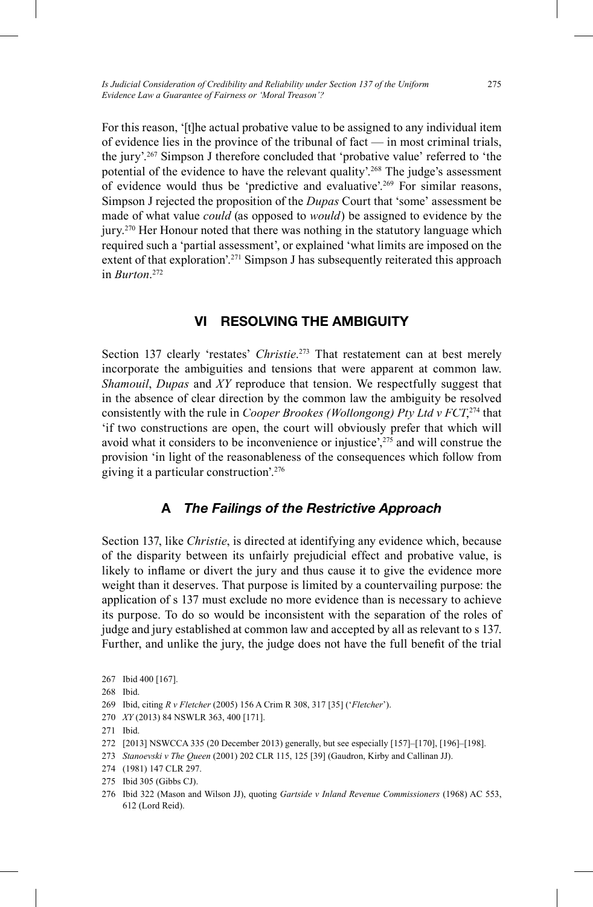For this reason, '[t]he actual probative value to be assigned to any individual item of evidence lies in the province of the tribunal of fact — in most criminal trials, the jury'. 267 Simpson J therefore concluded that 'probative value' referred to 'the potential of the evidence to have the relevant quality'. 268 The judge's assessment of evidence would thus be 'predictive and evaluative'. 269 For similar reasons, Simpson J rejected the proposition of the *Dupas* Court that 'some' assessment be made of what value *could* (as opposed to *would*) be assigned to evidence by the jury. 270 Her Honour noted that there was nothing in the statutory language which required such a 'partial assessment', or explained 'what limits are imposed on the extent of that exploration'.<sup>271</sup> Simpson J has subsequently reiterated this approach in *Burton*. 272

## **VI RESOLVING THE AMBIGUITY**

Section 137 clearly 'restates' *Christie*. 273 That restatement can at best merely incorporate the ambiguities and tensions that were apparent at common law. *Shamouil*, *Dupas* and *XY* reproduce that tension. We respectfully suggest that in the absence of clear direction by the common law the ambiguity be resolved consistently with the rule in *Cooper Brookes (Wollongong) Pty Ltd v FCT*,<sup>274</sup> that 'if two constructions are open, the court will obviously prefer that which will avoid what it considers to be inconvenience or injustice',275 and will construe the provision 'in light of the reasonableness of the consequences which follow from giving it a particular construction'. 276

## **A** *The Failings of the Restrictive Approach*

Section 137, like *Christie*, is directed at identifying any evidence which, because of the disparity between its unfairly prejudicial effect and probative value, is likely to inflame or divert the jury and thus cause it to give the evidence more weight than it deserves. That purpose is limited by a countervailing purpose: the application of s 137 must exclude no more evidence than is necessary to achieve its purpose. To do so would be inconsistent with the separation of the roles of judge and jury established at common law and accepted by all as relevant to s 137. Further, and unlike the jury, the judge does not have the full benefit of the trial

270 *XY* (2013) 84 NSWLR 363, 400 [171].

- 272 [2013] NSWCCA 335 (20 December 2013) generally, but see especially [157]–[170], [196]–[198].
- 273 *Stanoevski v The Queen* (2001) 202 CLR 115, 125 [39] (Gaudron, Kirby and Callinan JJ).
- 274 (1981) 147 CLR 297.
- 275 Ibid 305 (Gibbs CJ).
- 276 Ibid 322 (Mason and Wilson JJ), quoting *Gartside v Inland Revenue Commissioners* (1968) AC 553, 612 (Lord Reid).

<sup>267</sup> Ibid 400 [167].

<sup>268</sup> Ibid.

<sup>269</sup> Ibid, citing *R v Fletcher* (2005) 156 A Crim R 308, 317 [35] ('*Fletcher*').

<sup>271</sup> Ibid.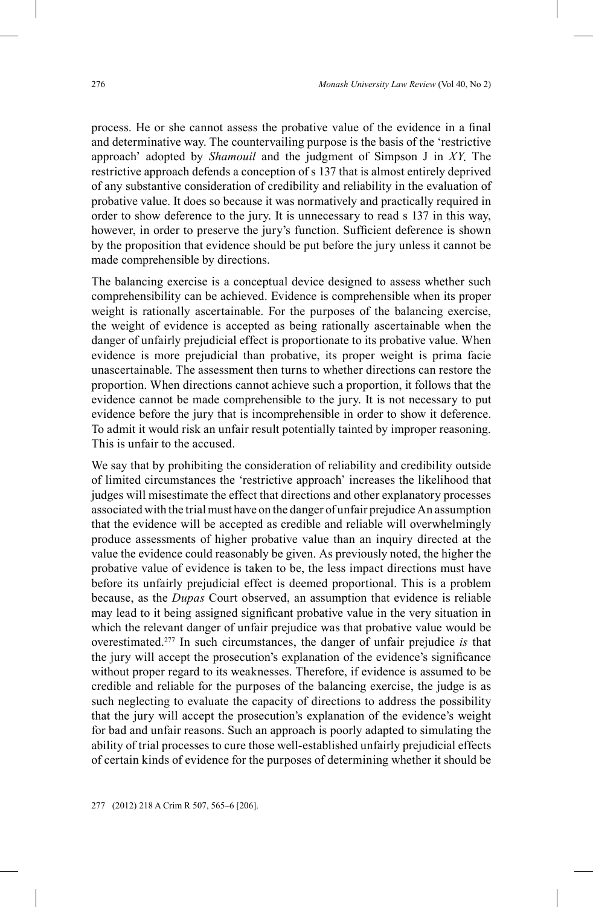process. He or she cannot assess the probative value of the evidence in a final and determinative way. The countervailing purpose is the basis of the 'restrictive approach' adopted by *Shamouil* and the judgment of Simpson J in *XY*. The restrictive approach defends a conception of s 137 that is almost entirely deprived of any substantive consideration of credibility and reliability in the evaluation of probative value. It does so because it was normatively and practically required in order to show deference to the jury. It is unnecessary to read s 137 in this way, however, in order to preserve the jury's function. Sufficient deference is shown by the proposition that evidence should be put before the jury unless it cannot be made comprehensible by directions.

The balancing exercise is a conceptual device designed to assess whether such comprehensibility can be achieved. Evidence is comprehensible when its proper weight is rationally ascertainable. For the purposes of the balancing exercise, the weight of evidence is accepted as being rationally ascertainable when the danger of unfairly prejudicial effect is proportionate to its probative value. When evidence is more prejudicial than probative, its proper weight is prima facie unascertainable. The assessment then turns to whether directions can restore the proportion. When directions cannot achieve such a proportion, it follows that the evidence cannot be made comprehensible to the jury. It is not necessary to put evidence before the jury that is incomprehensible in order to show it deference. To admit it would risk an unfair result potentially tainted by improper reasoning. This is unfair to the accused.

We say that by prohibiting the consideration of reliability and credibility outside of limited circumstances the 'restrictive approach' increases the likelihood that judges will misestimate the effect that directions and other explanatory processes associated with the trial must have on the danger of unfair prejudice An assumption that the evidence will be accepted as credible and reliable will overwhelmingly produce assessments of higher probative value than an inquiry directed at the value the evidence could reasonably be given. As previously noted, the higher the probative value of evidence is taken to be, the less impact directions must have before its unfairly prejudicial effect is deemed proportional. This is a problem because, as the *Dupas* Court observed, an assumption that evidence is reliable may lead to it being assigned significant probative value in the very situation in which the relevant danger of unfair prejudice was that probative value would be overestimated.277 In such circumstances, the danger of unfair prejudice *is* that the jury will accept the prosecution's explanation of the evidence's significance without proper regard to its weaknesses. Therefore, if evidence is assumed to be credible and reliable for the purposes of the balancing exercise, the judge is as such neglecting to evaluate the capacity of directions to address the possibility that the jury will accept the prosecution's explanation of the evidence's weight for bad and unfair reasons. Such an approach is poorly adapted to simulating the ability of trial processes to cure those well-established unfairly prejudicial effects of certain kinds of evidence for the purposes of determining whether it should be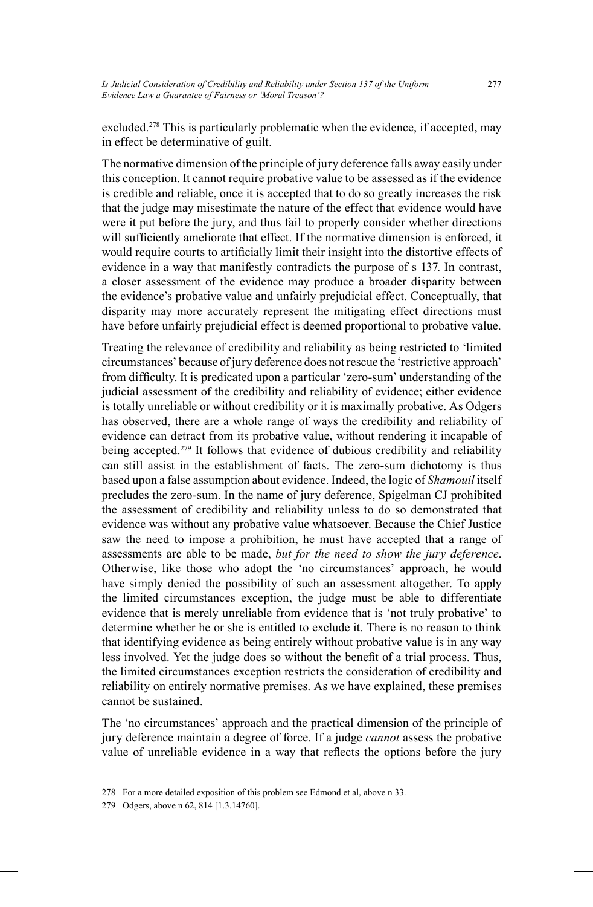*Is Judicial Consideration of Credibility and Reliability under Section 137 of the Uniform Evidence Law a Guarantee of Fairness or 'Moral Treason'?*

excluded.<sup>278</sup> This is particularly problematic when the evidence, if accepted, may in effect be determinative of guilt.

The normative dimension of the principle of jury deference falls away easily under this conception. It cannot require probative value to be assessed as if the evidence is credible and reliable, once it is accepted that to do so greatly increases the risk that the judge may misestimate the nature of the effect that evidence would have were it put before the jury, and thus fail to properly consider whether directions will sufficiently ameliorate that effect. If the normative dimension is enforced, it would require courts to artificially limit their insight into the distortive effects of evidence in a way that manifestly contradicts the purpose of s 137. In contrast, a closer assessment of the evidence may produce a broader disparity between the evidence's probative value and unfairly prejudicial effect. Conceptually, that disparity may more accurately represent the mitigating effect directions must have before unfairly prejudicial effect is deemed proportional to probative value.

Treating the relevance of credibility and reliability as being restricted to 'limited circumstances' because of jury deference does not rescue the 'restrictive approach' from difficulty. It is predicated upon a particular 'zero-sum' understanding of the judicial assessment of the credibility and reliability of evidence; either evidence is totally unreliable or without credibility or it is maximally probative. As Odgers has observed, there are a whole range of ways the credibility and reliability of evidence can detract from its probative value, without rendering it incapable of being accepted. 279 It follows that evidence of dubious credibility and reliability can still assist in the establishment of facts. The zero-sum dichotomy is thus based upon a false assumption about evidence. Indeed, the logic of *Shamouil* itself precludes the zero-sum. In the name of jury deference, Spigelman CJ prohibited the assessment of credibility and reliability unless to do so demonstrated that evidence was without any probative value whatsoever. Because the Chief Justice saw the need to impose a prohibition, he must have accepted that a range of assessments are able to be made, *but for the need to show the jury deference*. Otherwise, like those who adopt the 'no circumstances' approach, he would have simply denied the possibility of such an assessment altogether. To apply the limited circumstances exception, the judge must be able to differentiate evidence that is merely unreliable from evidence that is 'not truly probative' to determine whether he or she is entitled to exclude it. There is no reason to think that identifying evidence as being entirely without probative value is in any way less involved. Yet the judge does so without the benefit of a trial process. Thus, the limited circumstances exception restricts the consideration of credibility and reliability on entirely normative premises. As we have explained, these premises cannot be sustained.

The 'no circumstances' approach and the practical dimension of the principle of jury deference maintain a degree of force. If a judge *cannot* assess the probative value of unreliable evidence in a way that reflects the options before the jury

<sup>278</sup> For a more detailed exposition of this problem see Edmond et al, above n 33.

<sup>279</sup> Odgers, above n 62, 814 [1.3.14760].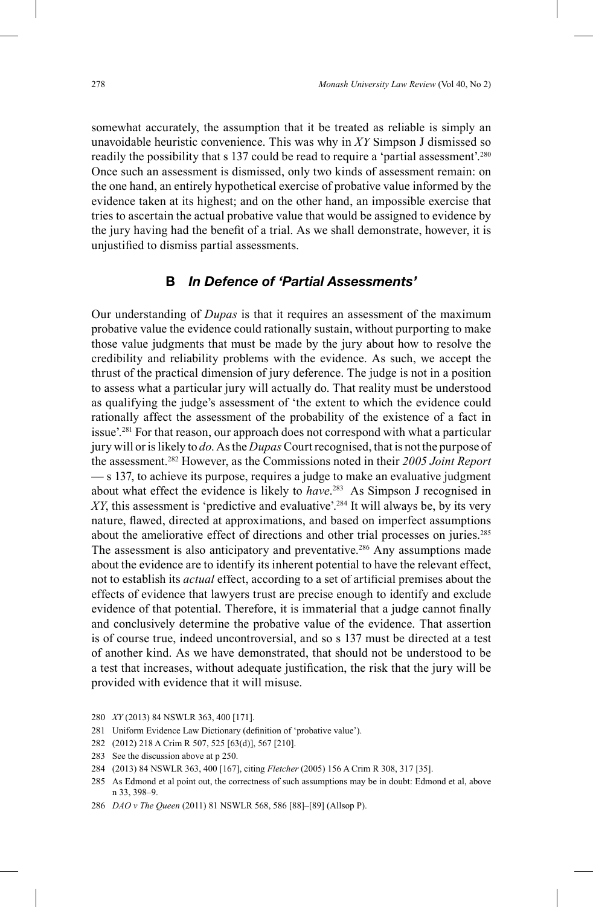somewhat accurately, the assumption that it be treated as reliable is simply an unavoidable heuristic convenience. This was why in *XY* Simpson J dismissed so readily the possibility that s 137 could be read to require a 'partial assessment'. 280 Once such an assessment is dismissed, only two kinds of assessment remain: on the one hand, an entirely hypothetical exercise of probative value informed by the evidence taken at its highest; and on the other hand, an impossible exercise that tries to ascertain the actual probative value that would be assigned to evidence by the jury having had the benefit of a trial. As we shall demonstrate, however, it is unjustified to dismiss partial assessments.

## **B** *In Defence of 'Partial Assessments'*

Our understanding of *Dupas* is that it requires an assessment of the maximum probative value the evidence could rationally sustain, without purporting to make those value judgments that must be made by the jury about how to resolve the credibility and reliability problems with the evidence. As such, we accept the thrust of the practical dimension of jury deference. The judge is not in a position to assess what a particular jury will actually do. That reality must be understood as qualifying the judge's assessment of 'the extent to which the evidence could rationally affect the assessment of the probability of the existence of a fact in issue'. 281 For that reason, our approach does not correspond with what a particular jury will or is likely to *do*. As the *Dupas*Court recognised, that is not the purpose of the assessment. 282 However, as the Commissions noted in their *2005 Joint Report* — s 137, to achieve its purpose, requires a judge to make an evaluative judgment about what effect the evidence is likely to *have*. <sup>283</sup> As Simpson J recognised in XY, this assessment is 'predictive and evaluative'.<sup>284</sup> It will always be, by its very nature, flawed, directed at approximations, and based on imperfect assumptions about the ameliorative effect of directions and other trial processes on juries. 285 The assessment is also anticipatory and preventative.<sup>286</sup> Any assumptions made about the evidence are to identify its inherent potential to have the relevant effect, not to establish its *actual* effect, according to a set of artificial premises about the effects of evidence that lawyers trust are precise enough to identify and exclude evidence of that potential. Therefore, it is immaterial that a judge cannot finally and conclusively determine the probative value of the evidence. That assertion is of course true, indeed uncontroversial, and so s 137 must be directed at a test of another kind. As we have demonstrated, that should not be understood to be a test that increases, without adequate justification, the risk that the jury will be provided with evidence that it will misuse.

<sup>280</sup> *XY* (2013) 84 NSWLR 363, 400 [171].

<sup>281</sup> Uniform Evidence Law Dictionary (definition of 'probative value').

<sup>282</sup> (2012) 218 A Crim R 507, 525 [63(d)], 567 [210].

<sup>283</sup> See the discussion above at p 250.

<sup>284 (2013) 84</sup> NSWLR 363, 400 [167], citing *Fletcher* (2005) 156 A Crim R 308, 317 [35].

<sup>285</sup> As Edmond et al point out, the correctness of such assumptions may be in doubt: Edmond et al, above n 33, 398–9.

<sup>286</sup> *DAO v The Queen* (2011) 81 NSWLR 568, 586 [88]–[89] (Allsop P).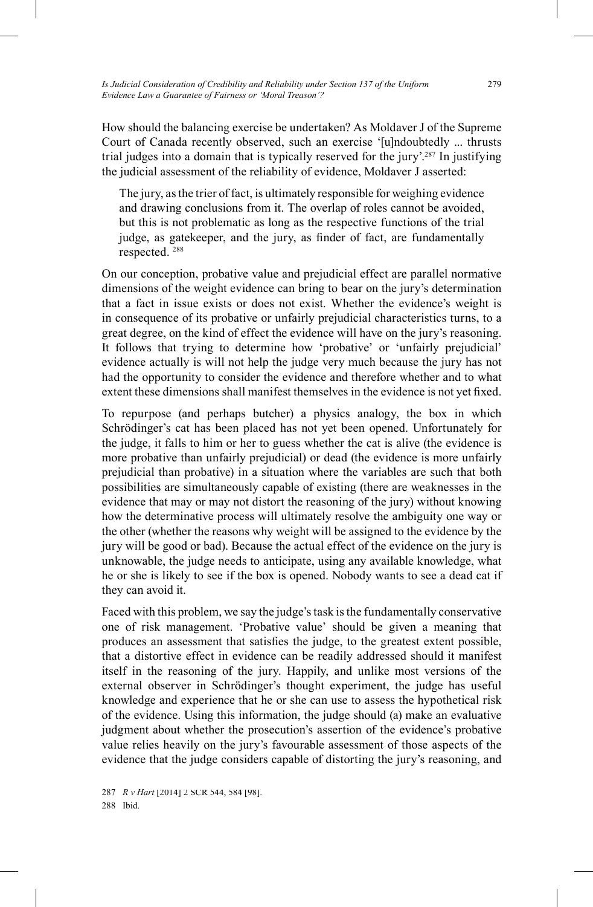How should the balancing exercise be undertaken? As Moldaver J of the Supreme Court of Canada recently observed, such an exercise '[u]ndoubtedly ... thrusts trial judges into a domain that is typically reserved for the jury'. 287 In justifying the judicial assessment of the reliability of evidence, Moldaver J asserted:

The jury, as the trier of fact, is ultimately responsible for weighing evidence and drawing conclusions from it. The overlap of roles cannot be avoided, but this is not problematic as long as the respective functions of the trial judge, as gatekeeper, and the jury, as finder of fact, are fundamentally respected. 288

On our conception, probative value and prejudicial effect are parallel normative dimensions of the weight evidence can bring to bear on the jury's determination that a fact in issue exists or does not exist. Whether the evidence's weight is in consequence of its probative or unfairly prejudicial characteristics turns, to a great degree, on the kind of effect the evidence will have on the jury's reasoning. It follows that trying to determine how 'probative' or 'unfairly prejudicial' evidence actually is will not help the judge very much because the jury has not had the opportunity to consider the evidence and therefore whether and to what extent these dimensions shall manifest themselves in the evidence is not yet fixed.

To repurpose (and perhaps butcher) a physics analogy, the box in which Schrödinger's cat has been placed has not yet been opened. Unfortunately for the judge, it falls to him or her to guess whether the cat is alive (the evidence is more probative than unfairly prejudicial) or dead (the evidence is more unfairly prejudicial than probative) in a situation where the variables are such that both possibilities are simultaneously capable of existing (there are weaknesses in the evidence that may or may not distort the reasoning of the jury) without knowing how the determinative process will ultimately resolve the ambiguity one way or the other (whether the reasons why weight will be assigned to the evidence by the jury will be good or bad). Because the actual effect of the evidence on the jury is unknowable, the judge needs to anticipate, using any available knowledge, what he or she is likely to see if the box is opened. Nobody wants to see a dead cat if they can avoid it.

Faced with this problem, we say the judge's task is the fundamentally conservative one of risk management. 'Probative value' should be given a meaning that produces an assessment that satisfies the judge, to the greatest extent possible, that a distortive effect in evidence can be readily addressed should it manifest itself in the reasoning of the jury. Happily, and unlike most versions of the external observer in Schrödinger's thought experiment, the judge has useful knowledge and experience that he or she can use to assess the hypothetical risk of the evidence. Using this information, the judge should (a) make an evaluative judgment about whether the prosecution's assertion of the evidence's probative value relies heavily on the jury's favourable assessment of those aspects of the evidence that the judge considers capable of distorting the jury's reasoning, and

<sup>287</sup> *R v Hart* [2014] 2 SCR 544, 584 [98]. 288 Ibid.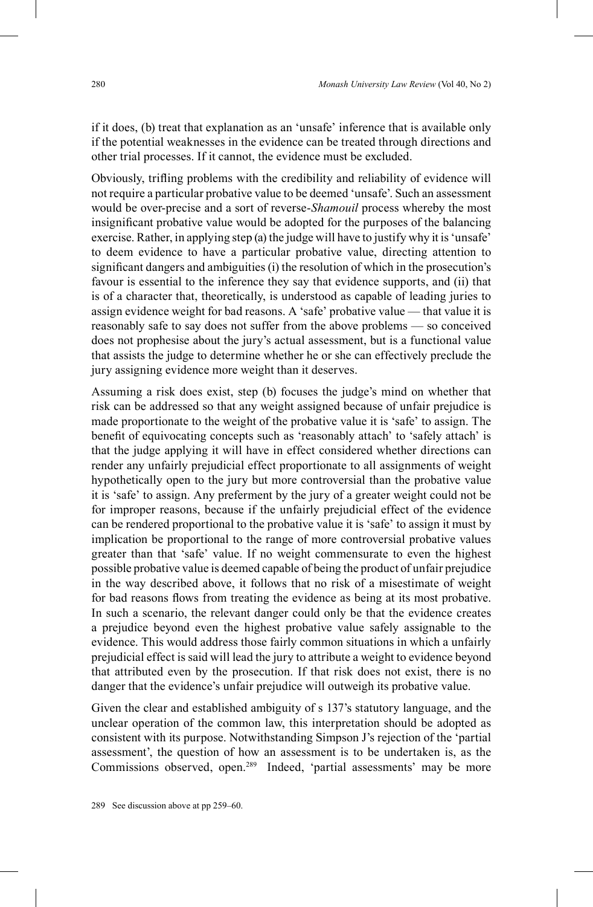if it does, (b) treat that explanation as an 'unsafe' inference that is available only if the potential weaknesses in the evidence can be treated through directions and other trial processes. If it cannot, the evidence must be excluded.

Obviously, trifling problems with the credibility and reliability of evidence will not require a particular probative value to be deemed 'unsafe'. Such an assessment would be over-precise and a sort of reverse-*Shamouil* process whereby the most insignificant probative value would be adopted for the purposes of the balancing exercise. Rather, in applying step (a) the judge will have to justify why it is 'unsafe' to deem evidence to have a particular probative value, directing attention to significant dangers and ambiguities (i) the resolution of which in the prosecution's favour is essential to the inference they say that evidence supports, and (ii) that is of a character that, theoretically, is understood as capable of leading juries to assign evidence weight for bad reasons. A 'safe' probative value — that value it is reasonably safe to say does not suffer from the above problems — so conceived does not prophesise about the jury's actual assessment, but is a functional value that assists the judge to determine whether he or she can effectively preclude the jury assigning evidence more weight than it deserves.

Assuming a risk does exist, step (b) focuses the judge's mind on whether that risk can be addressed so that any weight assigned because of unfair prejudice is made proportionate to the weight of the probative value it is 'safe' to assign. The benefit of equivocating concepts such as 'reasonably attach' to 'safely attach' is that the judge applying it will have in effect considered whether directions can render any unfairly prejudicial effect proportionate to all assignments of weight hypothetically open to the jury but more controversial than the probative value it is 'safe' to assign. Any preferment by the jury of a greater weight could not be for improper reasons, because if the unfairly prejudicial effect of the evidence can be rendered proportional to the probative value it is 'safe' to assign it must by implication be proportional to the range of more controversial probative values greater than that 'safe' value. If no weight commensurate to even the highest possible probative value is deemed capable of being the product of unfair prejudice in the way described above, it follows that no risk of a misestimate of weight for bad reasons flows from treating the evidence as being at its most probative. In such a scenario, the relevant danger could only be that the evidence creates a prejudice beyond even the highest probative value safely assignable to the evidence. This would address those fairly common situations in which a unfairly prejudicial effect is said will lead the jury to attribute a weight to evidence beyond that attributed even by the prosecution. If that risk does not exist, there is no danger that the evidence's unfair prejudice will outweigh its probative value.

Given the clear and established ambiguity of s 137's statutory language, and the unclear operation of the common law, this interpretation should be adopted as consistent with its purpose. Notwithstanding Simpson J's rejection of the 'partial assessment', the question of how an assessment is to be undertaken is, as the Commissions observed, open. <sup>289</sup> Indeed, 'partial assessments' may be more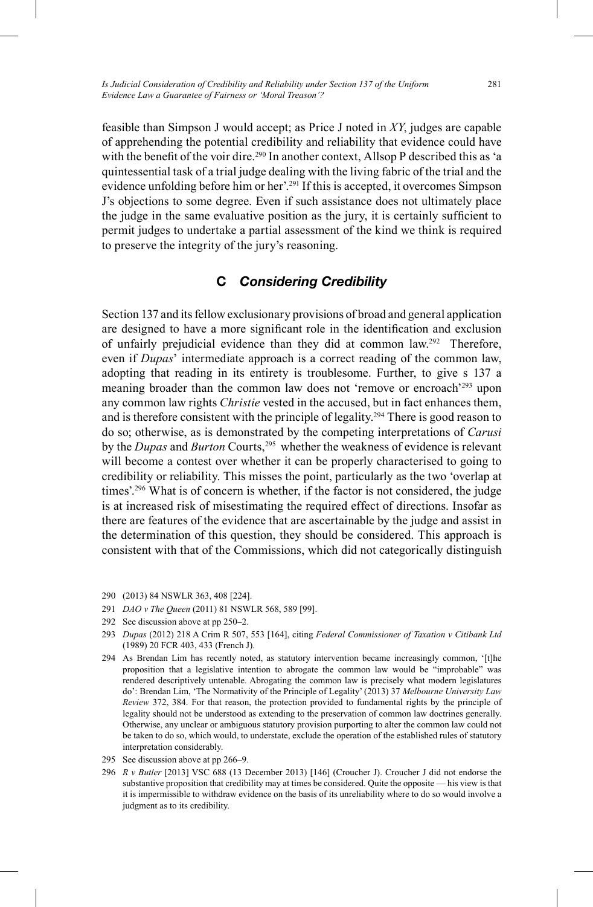feasible than Simpson J would accept; as Price J noted in *XY*, judges are capable of apprehending the potential credibility and reliability that evidence could have with the benefit of the voir dire.<sup>290</sup> In another context, Allsop P described this as 'a quintessential task of a trial judge dealing with the living fabric of the trial and the evidence unfolding before him or her'. 291 If this is accepted, it overcomes Simpson J's objections to some degree. Even if such assistance does not ultimately place the judge in the same evaluative position as the jury, it is certainly sufficient to permit judges to undertake a partial assessment of the kind we think is required to preserve the integrity of the jury's reasoning.

## **C** *Considering Credibility*

Section 137 and its fellow exclusionary provisions of broad and general application are designed to have a more significant role in the identification and exclusion of unfairly prejudicial evidence than they did at common law.<sup>292</sup> Therefore, even if *Dupas*' intermediate approach is a correct reading of the common law, adopting that reading in its entirety is troublesome. Further, to give s 137 a meaning broader than the common law does not 'remove or encroach'<sup>293</sup> upon any common law rights *Christie* vested in the accused, but in fact enhances them, and is therefore consistent with the principle of legality. 294 There is good reason to do so; otherwise, as is demonstrated by the competing interpretations of *Carusi*  by the *Dupas* and *Burton* Courts, <sup>295</sup> whether the weakness of evidence is relevant will become a contest over whether it can be properly characterised to going to credibility or reliability. This misses the point, particularly as the two 'overlap at times'. 296 What is of concern is whether, if the factor is not considered, the judge is at increased risk of misestimating the required effect of directions. Insofar as there are features of the evidence that are ascertainable by the judge and assist in the determination of this question, they should be considered. This approach is consistent with that of the Commissions, which did not categorically distinguish

- 291 *DAO v The Queen* (2011) 81 NSWLR 568, 589 [99].
- 292 See discussion above at pp 250–2.

- 294 As Brendan Lim has recently noted, as statutory intervention became increasingly common, '[t] he proposition that a legislative intention to abrogate the common law would be "improbable" was rendered descriptively untenable. Abrogating the common law is precisely what modern legislatures do': Brendan Lim, 'The Normativity of the Principle of Legality' (2013) 37 *Melbourne University Law Review* 372, 384. For that reason, the protection provided to fundamental rights by the principle of legality should not be understood as extending to the preservation of common law doctrines generally. Otherwise, any unclear or ambiguous statutory provision purporting to alter the common law could not be taken to do so, which would, to understate, exclude the operation of the established rules of statutory interpretation considerably.
- 295 See discussion above at pp 266–9.
- 296 *R v Butler* [2013] VSC 688 (13 December 2013) [146] (Croucher J). Croucher J did not endorse the substantive proposition that credibility may at times be considered. Quite the opposite — his view is that it is impermissible to withdraw evidence on the basis of its unreliability where to do so would involve a judgment as to its credibility.

<sup>290</sup> (2013) 84 NSWLR 363, 408 [224].

<sup>293</sup> *Dupas* (2012) 218 A Crim R 507, 553 [164], citing *Federal Commissioner of Taxation v Citibank Ltd* (1989) 20 FCR 403, 433 (French J).